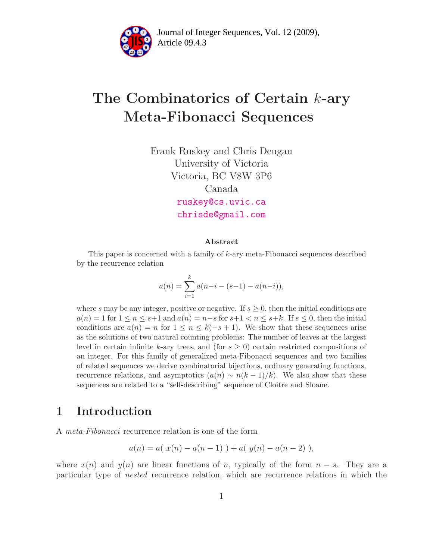

Article 09.4.3 **<sup>2</sup>** Journal of Integer Sequences, Vol. 12 (2009),

# The Combinatorics of Certain k-ary Meta-Fibonacci Sequences

Frank Ruskey and Chris Deugau University of Victoria Victoria, BC V8W 3P6 Canada [ruskey@cs.uvic.ca](mailto:ruskey@cs.uvic.ca) [chrisde@gmail.com](mailto:chrisde@gmail.com)

#### Abstract

This paper is concerned with a family of k-ary meta-Fibonacci sequences described by the recurrence relation

$$
a(n) = \sum_{i=1}^{k} a(n-i - (s-1) - a(n-i)),
$$

where s may be any integer, positive or negative. If  $s \geq 0$ , then the initial conditions are  $a(n) = 1$  for  $1 \le n \le s+1$  and  $a(n) = n-s$  for  $s+1 \le n \le s+k$ . If  $s \le 0$ , then the initial conditions are  $a(n) = n$  for  $1 \leq n \leq k(-s+1)$ . We show that these sequences arise as the solutions of two natural counting problems: The number of leaves at the largest level in certain infinite k-ary trees, and (for  $s \geq 0$ ) certain restricted compositions of an integer. For this family of generalized meta-Fibonacci sequences and two families of related sequences we derive combinatorial bijections, ordinary generating functions, recurrence relations, and asymptotics  $(a(n) \sim n(k-1)/k)$ . We also show that these sequences are related to a "self-describing" sequence of Cloitre and Sloane.

### 1 Introduction

A meta-Fibonacci recurrence relation is one of the form

$$
a(n) = a(\ x(n) - a(n-1)) + a(\ y(n) - a(n-2)),
$$

where  $x(n)$  and  $y(n)$  are linear functions of n, typically of the form  $n - s$ . They are a particular type of nested recurrence relation, which are recurrence relations in which the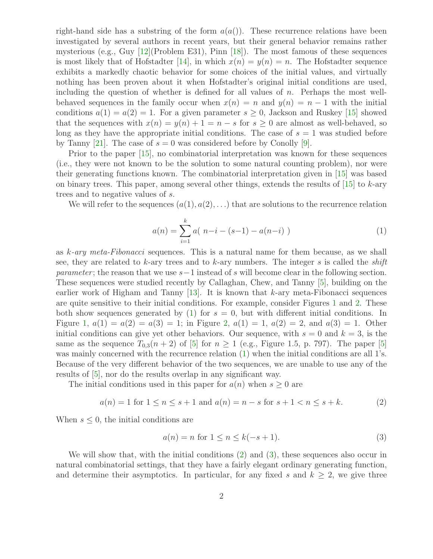right-hand side has a substring of the form  $a(a))$ . These recurrence relations have been investigated by several authors in recent years, but their general behavior remains rather mysterious (e.g., Guy [\[12\]](#page-34-0)(Problem E31), Pinn [\[18\]](#page-35-0)). The most famous of these sequences is most likely that of Hofstadter [\[14\]](#page-34-1), in which  $x(n) = y(n) = n$ . The Hofstadter sequence exhibits a markedly chaotic behavior for some choices of the initial values, and virtually nothing has been proven about it when Hofstadter's original initial conditions are used, including the question of whether is defined for all values of  $n$ . Perhaps the most wellbehaved sequences in the family occur when  $x(n) = n$  and  $y(n) = n - 1$  with the initial conditions  $a(1) = a(2) = 1$ . For a given parameter  $s \geq 0$ , Jackson and Ruskey [\[15\]](#page-34-2) showed that the sequences with  $x(n) = y(n) + 1 = n - s$  for  $s \ge 0$  are almost as well-behaved, so long as they have the appropriate initial conditions. The case of  $s = 1$  was studied before by Tanny [\[21\]](#page-35-1). The case of  $s = 0$  was considered before by Conolly [\[9\]](#page-34-3).

Prior to the paper [\[15\]](#page-34-2), no combinatorial interpretation was known for these sequences (i.e., they were not known to be the solution to some natural counting problem), nor were their generating functions known. The combinatorial interpretation given in [\[15\]](#page-34-2) was based on binary trees. This paper, among several other things, extends the results of  $[15]$  to k-ary trees and to negative values of s.

<span id="page-1-0"></span>We will refer to the sequences  $(a(1), a(2), \ldots)$  that are solutions to the recurrence relation

$$
a(n) = \sum_{i=1}^{k} a(n-i - (s-1) - a(n-i))
$$
 (1)

as k-ary meta-Fibonacci sequences. This is a natural name for them because, as we shall see, they are related to k-ary trees and to k-ary numbers. The integer s is called the shift *parameter*; the reason that we use  $s-1$  instead of s will become clear in the following section. These sequences were studied recently by Callaghan, Chew, and Tanny [\[5\]](#page-34-4), building on the earlier work of Higham and Tanny  $[13]$ . It is known that k-ary meta-Fibonacci sequences are quite sensitive to their initial conditions. For example, consider Figures [1](#page-2-0) and [2.](#page-2-1) These both show sequences generated by  $(1)$  for  $s = 0$ , but with different initial conditions. In Figure [1,](#page-2-0)  $a(1) = a(2) = a(3) = 1$ ; in Figure [2,](#page-2-1)  $a(1) = 1$ ,  $a(2) = 2$ , and  $a(3) = 1$ . Other initial conditions can give yet other behaviors. Our sequence, with  $s = 0$  and  $k = 3$ , is the same as the sequence  $T_{0,3}(n+2)$  of [\[5\]](#page-34-4) for  $n \geq 1$  (e.g., Figure 1.5, p. 797). The paper [5] was mainly concerned with the recurrence relation [\(1\)](#page-1-0) when the initial conditions are all 1's. Because of the very different behavior of the two sequences, we are unable to use any of the results of [\[5\]](#page-34-4), nor do the results overlap in any significant way.

The initial conditions used in this paper for  $a(n)$  when  $s \geq 0$  are

$$
a(n) = 1 \text{ for } 1 \le n \le s + 1 \text{ and } a(n) = n - s \text{ for } s + 1 < n \le s + k. \tag{2}
$$

When  $s \leq 0$ , the initial conditions are

<span id="page-1-2"></span><span id="page-1-1"></span>
$$
a(n) = n \text{ for } 1 \le n \le k(-s+1). \tag{3}
$$

We will show that, with the initial conditions [\(2\)](#page-1-1) and [\(3\)](#page-1-2), these sequences also occur in natural combinatorial settings, that they have a fairly elegant ordinary generating function, and determine their asymptotics. In particular, for any fixed s and  $k \geq 2$ , we give three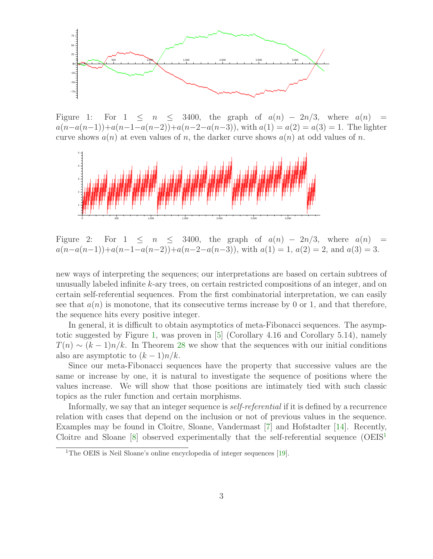

<span id="page-2-0"></span>Figure 1: For  $1 \leq n \leq 3400$ , the graph of  $a(n) - 2n/3$ , where  $a(n) =$  $a(n-a(n-1))+a(n-1-a(n-2))+a(n-2-a(n-3))$ , with  $a(1) = a(2) = a(3) = 1$ . The lighter curve shows  $a(n)$  at even values of n, the darker curve shows  $a(n)$  at odd values of n.



<span id="page-2-1"></span>Figure 2: For  $1 \leq n \leq 3400$ , the graph of  $a(n) - 2n/3$ , where  $a(n) =$  $a(n-a(n-1))+a(n-1-a(n-2))+a(n-2-a(n-3))$ , with  $a(1) = 1$ ,  $a(2) = 2$ , and  $a(3) = 3$ .

new ways of interpreting the sequences; our interpretations are based on certain subtrees of unusually labeled infinite k-ary trees, on certain restricted compositions of an integer, and on certain self-referential sequences. From the first combinatorial interpretation, we can easily see that  $a(n)$  is monotone, that its consecutive terms increase by 0 or 1, and that therefore, the sequence hits every positive integer.

In general, it is difficult to obtain asymptotics of meta-Fibonacci sequences. The asymp-totic suggested by Figure [1,](#page-2-0) was proven in  $[5]$  (Corollary 4.16 and Corollary 5.14), namely  $T(n) \sim (k-1)n/k$ . In Theorem [28](#page-26-0) we show that the sequences with our initial conditions also are asymptotic to  $(k-1)n/k$ .

Since our meta-Fibonacci sequences have the property that successive values are the same or increase by one, it is natural to investigate the sequence of positions where the values increase. We will show that those positions are intimately tied with such classic topics as the ruler function and certain morphisms.

Informally, we say that an integer sequence is self-referential if it is defined by a recurrence relation with cases that depend on the inclusion or not of previous values in the sequence. Examples may be found in Cloitre, Sloane, Vandermast [\[7\]](#page-34-6) and Hofstadter [\[14\]](#page-34-1). Recently, Cloitre and Sloane  $[8]$  observed experimentally that the self-referential sequence  $(OEIS<sup>1</sup>)$  $(OEIS<sup>1</sup>)$  $(OEIS<sup>1</sup>)$ 

<span id="page-2-2"></span><sup>&</sup>lt;sup>1</sup>The OEIS is Neil Sloane's online encyclopedia of integer sequences [\[19\]](#page-35-2).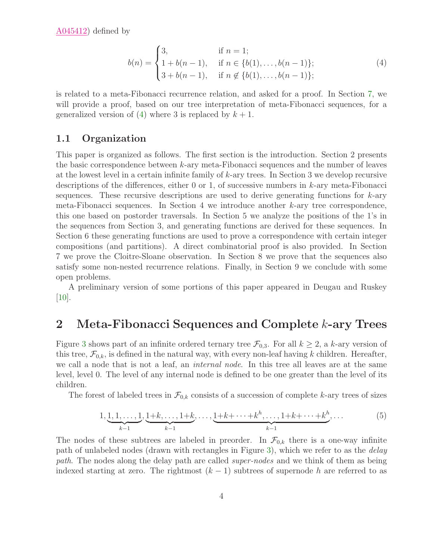<span id="page-3-0"></span>[A045412\)](http://www.research.att.com/cgi-bin/access.cgi/as/~njas/sequences/eisA.cgi?Anum=A045412) defined by

$$
b(n) = \begin{cases} 3, & \text{if } n = 1; \\ 1 + b(n - 1), & \text{if } n \in \{b(1), \dots, b(n - 1)\}; \\ 3 + b(n - 1), & \text{if } n \notin \{b(1), \dots, b(n - 1)\}; \end{cases}
$$
(4)

is related to a meta-Fibonacci recurrence relation, and asked for a proof. In Section [7,](#page-28-0) we will provide a proof, based on our tree interpretation of meta-Fibonacci sequences, for a generalized version of [\(4\)](#page-3-0) where 3 is replaced by  $k + 1$ .

#### 1.1 Organization

This paper is organized as follows. The first section is the introduction. Section 2 presents the basic correspondence between k-ary meta-Fibonacci sequences and the number of leaves at the lowest level in a certain infinite family of  $k$ -ary trees. In Section 3 we develop recursive descriptions of the differences, either 0 or 1, of successive numbers in  $k$ -ary meta-Fibonacci sequences. These recursive descriptions are used to derive generating functions for  $k$ -ary meta-Fibonacci sequences. In Section 4 we introduce another  $k$ -ary tree correspondence, this one based on postorder traversals. In Section 5 we analyze the positions of the 1's in the sequences from Section 3, and generating functions are derived for these sequences. In Section 6 these generating functions are used to prove a correspondence with certain integer compositions (and partitions). A direct combinatorial proof is also provided. In Section 7 we prove the Cloitre-Sloane observation. In Section 8 we prove that the sequences also satisfy some non-nested recurrence relations. Finally, in Section 9 we conclude with some open problems.

A preliminary version of some portions of this paper appeared in Deugau and Ruskey  $[10]$ .

### <span id="page-3-2"></span>2 Meta-Fibonacci Sequences and Complete k-ary Trees

Figure [3](#page-4-0) shows part of an infinite ordered ternary tree  $\mathcal{F}_{0,3}$ . For all  $k \geq 2$ , a k-ary version of this tree,  $\mathcal{F}_{0,k}$ , is defined in the natural way, with every non-leaf having k children. Hereafter, we call a node that is not a leaf, an *internal node*. In this tree all leaves are at the same level, level 0. The level of any internal node is defined to be one greater than the level of its children.

<span id="page-3-1"></span>The forest of labeled trees in  $\mathcal{F}_{0,k}$  consists of a succession of complete k-ary trees of sizes

$$
1, \underbrace{1, 1, \ldots, 1}_{k-1}, \underbrace{1+k, \ldots, 1+k}_{k-1}, \ldots, \underbrace{1+k+\cdots+k^h, \ldots, 1+k+\cdots+k^h}_{k-1}, \ldots
$$
 (5)

The nodes of these subtrees are labeled in preorder. In  $\mathcal{F}_{0,k}$  there is a one-way infinite path of unlabeled nodes (drawn with rectangles in Figure [3\)](#page-4-0), which we refer to as the delay path. The nodes along the delay path are called super-nodes and we think of them as being indexed starting at zero. The rightmost  $(k-1)$  subtrees of supernode h are referred to as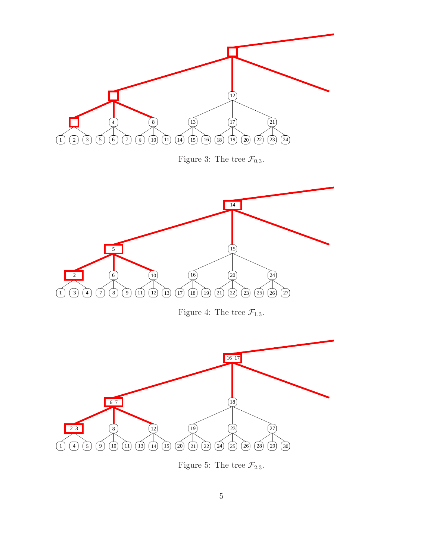<span id="page-4-0"></span>

<span id="page-4-2"></span><span id="page-4-1"></span>Figure 5: The tree  $\mathcal{F}_{2,3}$ .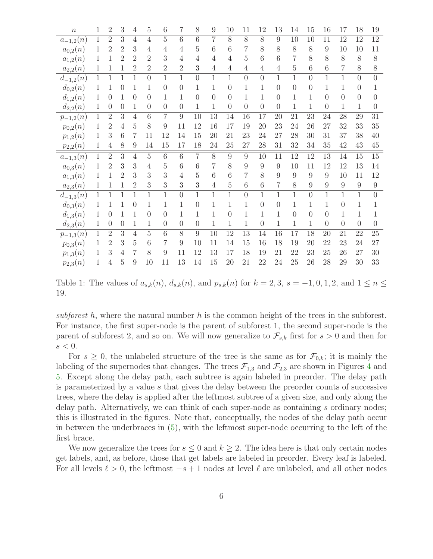| $\boldsymbol{n}$ | $\mathbf 1$  | $\overline{2}$ | 3              | 4                | $\overline{5}$ | 6              | 7                | 8              | 9               | 10             | 11             | 12             | 13             | 14             | 15             | 16               | 17             | 18             | 19               |
|------------------|--------------|----------------|----------------|------------------|----------------|----------------|------------------|----------------|-----------------|----------------|----------------|----------------|----------------|----------------|----------------|------------------|----------------|----------------|------------------|
| $a_{-1,2}(n)$    | $\mathbf{1}$ | $\overline{2}$ | $\overline{3}$ | $\overline{4}$   | $\overline{4}$ | $\overline{5}$ | $\overline{6}$   | $\overline{6}$ | $\overline{7}$  | $\overline{8}$ | 8              | $\overline{8}$ | 9              | 10             | 10             | 11               | 12             | 12             | 12               |
| $a_{0,2}(n)$     | 1            | $\overline{2}$ | $\overline{2}$ | 3                | $\overline{4}$ | 4              | 4                | $\overline{5}$ | $6\phantom{.}6$ | 6              | 7              | 8              | 8              | $8\,$          | 8              | $\boldsymbol{9}$ | $10\,$         | 10             | 11               |
| $a_{1,2}(n)$     | 1            | 1              | 2              | $\overline{2}$   | $\overline{2}$ | 3              | 4                | 4              | $\overline{4}$  | $\overline{4}$ | 5              | 6              | 6              | $\overline{7}$ | 8              | 8                | 8              | 8              | $8\,$            |
| $a_{2,2}(n)$     | 1            | 1              | 1              | $\overline{2}$   | $\overline{2}$ | $\overline{2}$ | $\overline{2}$   | 3              | $\overline{4}$  | $\overline{4}$ | 4              | 4              | $\overline{4}$ | $\overline{5}$ | 6              | $\!6\,$          | 7              | 8              | 8                |
| $d_{-1,2}(n)$    | 1            | $\mathbf{1}$   | $\mathbf{1}$   | $\mathbf{1}$     | $\overline{0}$ | 1              | $\mathbf{1}$     | $\overline{0}$ | 1               | $\mathbf{1}$   | $\theta$       | $\overline{0}$ | $\mathbf{1}$   | $\mathbf{1}$   | $\overline{0}$ | $\mathbf 1$      | $\mathbf{1}$   | $\overline{0}$ | $\overline{0}$   |
| $d_{0,2}(n)$     | 1            | 1              | 0              | 1                | 1              | $\theta$       | $\overline{0}$   | 1              | 1               | $\overline{0}$ | 1              |                | $\theta$       | $\overline{0}$ | $\overline{0}$ | 1                |                | $\theta$       |                  |
| $d_{1,2}(n)$     | 1            | $\overline{0}$ | 1              | $\overline{0}$   | $\Omega$       | 1              | 1                | $\overline{0}$ | $\overline{0}$  | $\theta$       | 1              | 1              | $\theta$       | 1              | 1              | $\overline{0}$   | $\overline{0}$ | $\theta$       | $\left( \right)$ |
| $d_{2,2}(n)$     | 1            | $\overline{0}$ | $\theta$       | 1                | $\Omega$       | $\Omega$       | $\overline{0}$   | $\mathbf 1$    | 1               | $\overline{0}$ | $\theta$       | $\theta$       | $\Omega$       | 1              | 1              | $\boldsymbol{0}$ | 1              | 1              | $\theta$         |
| $p_{-1,2}(n)$    | $\mathbf{1}$ | $\overline{2}$ | 3              | $\overline{4}$   | 6              | $\overline{7}$ | 9                | 10             | 13              | 14             | 16             | 17             | 20             | 21             | 23             | 24               | 28             | 29             | 31               |
| $p_{0,2}(n)$     | 1            | $\overline{2}$ | 4              | $\overline{5}$   | 8              | 9              | 11               | 12             | 16              | 17             | 19             | 20             | 23             | 24             | 26             | 27               | 32             | 33             | 35               |
| $p_{1,2}(n)$     | 1            | 3              | 6              | 7                | 11             | 12             | 14               | 15             | 20              | 21             | 23             | 24             | 27             | 28             | 30             | 31               | 37             | 38             | 40               |
| $p_{2,2}(n)$     | 1            | $\overline{4}$ | 8              | $\boldsymbol{9}$ | 14             | 15             | 17               | 18             | 24              | 25             | 27             | 28             | 31             | 32             | $34\,$         | 35               | $42\,$         | $43\,$         | $45\,$           |
| $a_{-1,3}(n)$    | 1            | $\overline{2}$ | 3              | 4                | $\overline{5}$ | 6              | 6                | 7              | 8               | 9              | 9              | 10             | 11             | 12             | 12             | 13               | 14             | 15             | 15               |
| $a_{0,3}(n)$     | 1            | 2              | 3              | 3                | 4              | 5              | 6                | 6              | 7               | 8              | 9              | 9              | 9              | 10             | 11             | 12               | 12             | 13             | 14               |
| $a_{1,3}(n)$     | 1            | 1              | $\overline{2}$ | 3                | 3              | 3              | 4                | $\overline{5}$ | $\overline{6}$  | 6              | 7              | 8              | 9              | 9              | 9              | 9                | 10             | 11             | 12               |
| $a_{2,3}(n)$     | 1            | 1              | 1              | $\overline{2}$   | 3              | 3              | 3                | 3              | $\overline{4}$  | $\bf 5$        | 6              | 6              | 7              | 8              | $\overline{9}$ | $\boldsymbol{9}$ | 9              | 9              | $\boldsymbol{9}$ |
| $d_{-1,3}(n)$    | 1            | 1              | 1              | $\mathbf{1}$     | $\mathbf{1}$   | 1              | $\overline{0}$   | $\mathbf{1}$   | $\mathbf 1$     | $\mathbf{1}$   | $\overline{0}$ | 1              | $\mathbf{1}$   | $\mathbf{1}$   | $\overline{0}$ | $\mathbf{1}$     | $\mathbf{1}$   | $\mathbf{1}$   | 0                |
| $d_{0,3}(n)$     | 1            | 1              |                | $\boldsymbol{0}$ | 1              |                | 1                | $\overline{0}$ | 1               | 1              | 1              | 0              | $\Omega$       | 1              | 1              | 1                | $\overline{0}$ | 1              |                  |
| $d_{1,3}(n)$     | 1            | $\theta$       | 1              | 1                | $\theta$       | $\Omega$       | 1                | 1              | 1               | $\theta$       | 1              | 1              | 1              | $\overline{0}$ | $\overline{0}$ | $\overline{0}$   | 1              | 1              |                  |
| $d_{2,3}(n)$     | 1            | $\theta$       | $\overline{0}$ | 1                | 1              | $\overline{0}$ | $\boldsymbol{0}$ | $\theta$       | $\mathbf 1$     | 1              | 1              | $\overline{0}$ | 1              | $\mathbf{1}$   | $\mathbf{1}$   | $\boldsymbol{0}$ | $\theta$       | $\theta$       | $\theta$         |
| $p_{-1,3}(n)$    | $\mathbf{1}$ | $\overline{2}$ | 3              | $\overline{4}$   | $\overline{5}$ | 6              | 8                | 9              | 10              | 12             | 13             | 14             | 16             | 17             | 18             | 20               | 21             | 22             | 25               |
| $p_{0,3}(n)$     | 1            | $\overline{2}$ | 3              | $\overline{5}$   | 6              | 7              | 9                | 10             | 11              | 14             | 15             | 16             | 18             | 19             | $20\,$         | 22               | 23             | 24             | 27               |
| $p_{1,3}(n)$     | 1            | 3              | 4              | 7                | 8              | 9              | 11               | 12             | 13              | 17             | 18             | 19             | 21             | 22             | 23             | 25               | 26             | 27             | $30\,$           |
| $p_{2,3}(n)$     | 1            | 4              | 5              | 9                | 10             | 11             | 13               | 14             | 15              | $20\,$         | 21             | 22             | $24\,$         | 25             | 26             | 28               | 29             | 30             | 33               |

<span id="page-5-0"></span>Table 1: The values of  $a_{s,k}(n)$ ,  $d_{s,k}(n)$ , and  $p_{s,k}(n)$  for  $k = 2, 3$ ,  $s = -1, 0, 1, 2$ , and  $1 \le n \le k$ 19.

subforest h, where the natural number h is the common height of the trees in the subforest. For instance, the first super-node is the parent of subforest 1, the second super-node is the parent of subforest 2, and so on. We will now generalize to  $\mathcal{F}_{s,k}$  first for  $s > 0$  and then for  $s < 0$ .

For  $s \geq 0$ , the unlabeled structure of the tree is the same as for  $\mathcal{F}_{0,k}$ ; it is mainly the labeling of the supernodes that changes. The trees  $\mathcal{F}_{1,3}$  and  $\mathcal{F}_{2,3}$  are shown in Figures [4](#page-4-1) and [5.](#page-4-2) Except along the delay path, each subtree is again labeled in preorder. The delay path is parameterized by a value s that gives the delay between the preorder counts of successive trees, where the delay is applied after the leftmost subtree of a given size, and only along the delay path. Alternatively, we can think of each super-node as containing s ordinary nodes; this is illustrated in the figures. Note that, conceptually, the nodes of the delay path occur in between the underbraces in [\(5\)](#page-3-1), with the leftmost super-node occurring to the left of the first brace.

We now generalize the trees for  $s \leq 0$  and  $k \geq 2$ . The idea here is that only certain nodes get labels, and, as before, those that get labels are labeled in preorder. Every leaf is labeled. For all levels  $\ell > 0$ , the leftmost  $-s+1$  nodes at level  $\ell$  are unlabeled, and all other nodes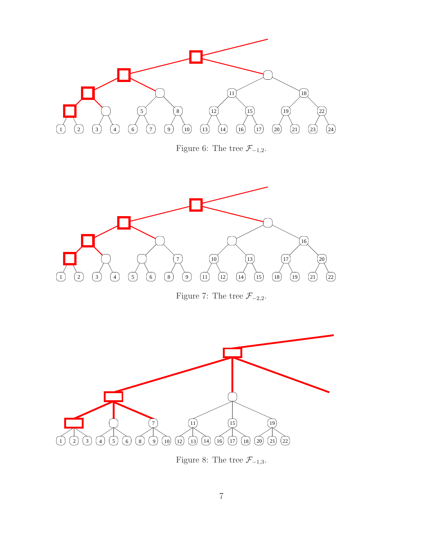

<span id="page-6-1"></span><span id="page-6-0"></span>Figure 7: The tree  $\mathcal{F}_{-2,2}$ .



<span id="page-6-2"></span>Figure 8: The tree  $\mathcal{F}_{-1,3}$ .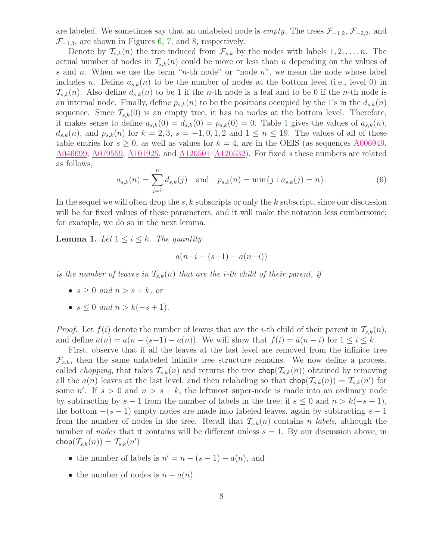are labeled. We sometimes say that an unlabeled node is *empty*. The trees  $\mathcal{F}_{-1,2}$ ,  $\mathcal{F}_{-2,2}$ , and  $\mathcal{F}_{-1,3}$ , are shown in Figures [6,](#page-6-0) [7,](#page-6-1) and [8,](#page-6-2) respectively.

Denote by  $\mathcal{T}_{s,k}(n)$  the tree induced from  $\mathcal{F}_{s,k}$  by the nodes with labels  $1, 2, \ldots, n$ . The actual number of nodes in  $\mathcal{T}_{s,k}(n)$  could be more or less than n depending on the values of s and n. When we use the term "n-th node" or "node n", we mean the node whose label includes n. Define  $a_{s,k}(n)$  to be the number of nodes at the bottom level (i.e., level 0) in  $\mathcal{T}_{s,k}(n)$ . Also define  $d_{s,k}(n)$  to be 1 if the *n*-th node is a leaf and to be 0 if the *n*-th node is an internal node. Finally, define  $p_{s,k}(n)$  to be the positions occupied by the 1's in the  $d_{s,k}(n)$ sequence. Since  $\mathcal{T}_{s,k}(0)$  is an empty tree, it has no nodes at the bottom level. Therefore, it makes sense to define  $a_{s,k}(0) = d_{s,k}(0) = p_{s,k}(0) = 0$ . Table [1](#page-5-0) gives the values of  $a_{s,k}(n)$ ,  $d_{s,k}(n)$ , and  $p_{s,k}(n)$  for  $k = 2,3$ ,  $s = -1,0,1,2$  and  $1 \leq n \leq 19$ . The values of all of these table entries for  $s \geq 0$ , as well as values for  $k = 4$ , are in the OEIS (as sequences [A006949,](http://www.research.att.com/cgi-bin/access.cgi/as/~njas/sequences/eisA.cgi?Anum=A006949) [A046699,](http://www.research.att.com/cgi-bin/access.cgi/as/~njas/sequences/eisA.cgi?Anum=A046699) [A079559,](http://www.research.att.com/cgi-bin/access.cgi/as/~njas/sequences/eisA.cgi?Anum=A079559) [A101925,](http://www.research.att.com/cgi-bin/access.cgi/as/~njas/sequences/eisA.cgi?Anum=A101925) and [A120501](http://www.research.att.com/cgi-bin/access.cgi/as/~njas/sequences/eisA.cgi?Anum=A120501)[–A120532\)](http://www.research.att.com/cgi-bin/access.cgi/as/~njas/sequences/eisA.cgi?Anum=A120532). For fixed s these numbers are related as follows,

$$
a_{s,k}(n) = \sum_{j=0}^{n} d_{s,k}(j) \text{ and } p_{s,k}(n) = \min\{j : a_{s,k}(j) = n\}.
$$
 (6)

In the sequel we will often drop the s, k subscripts or only the k subscript, since our discussion will be for fixed values of these parameters, and it will make the notation less cumbersome; for example, we do so in the next lemma.

<span id="page-7-0"></span>**Lemma 1.** Let  $1 \leq i \leq k$ . The quantity

$$
a(n-i-(s-1)-a(n-i))
$$

is the number of leaves in  $\mathcal{T}_{s,k}(n)$  that are the *i*-th child of their parent, if

- $s \geq 0$  and  $n > s + k$ , or
- $s \leq 0$  and  $n > k(-s+1)$ .

*Proof.* Let  $f(i)$  denote the number of leaves that are the *i*-th child of their parent in  $\mathcal{T}_{s,k}(n)$ , and define  $\overline{a}(n) = a(n - (s-1) - a(n))$ . We will show that  $f(i) = \overline{a}(n - i)$  for  $1 \le i \le k$ .

First, observe that if all the leaves at the last level are removed from the infinite tree  $\mathcal{F}_{s,k}$ , then the same unlabeled infinite tree structure remains. We now define a process, called *chopping*, that takes  $\mathcal{T}_{s,k}(n)$  and returns the tree **chop** $(\mathcal{T}_{s,k}(n))$  obtained by removing all the  $a(n)$  leaves at the last level, and then relabeling so that  $\textsf{chop}(\mathcal{T}_{s,k}(n)) = \mathcal{T}_{s,k}(n')$  for some n'. If  $s > 0$  and  $n > s + k$ , the leftmost super-node is made into an ordinary node by subtracting by  $s-1$  from the number of labels in the tree; if  $s \leq 0$  and  $n > k(-s+1)$ , the bottom  $-(s-1)$  empty nodes are made into labeled leaves, again by subtracting  $s-1$ from the number of nodes in the tree. Recall that  $\mathcal{T}_{s,k}(n)$  contains n labels, although the number of nodes that it contains will be different unless  $s = 1$ . By our discussion above, in  $\mathsf{chop}(\mathcal{T}_{s,k}(n)) = \mathcal{T}_{s,k}(n')$ 

- the number of labels is  $n' = n (s 1) a(n)$ , and
- the number of nodes is  $n a(n)$ .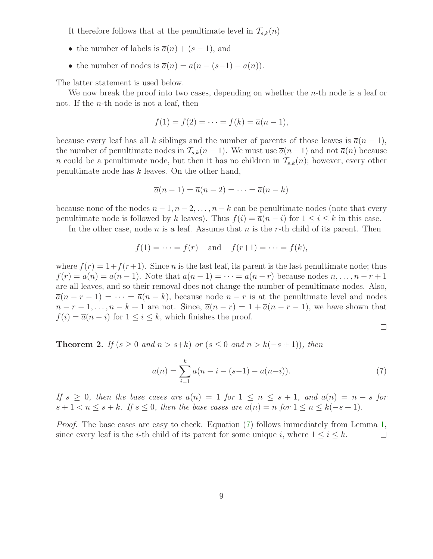It therefore follows that at the penultimate level in  $\mathcal{T}_{s,k}(n)$ 

- the number of labels is  $\overline{a}(n) + (s-1)$ , and
- the number of nodes is  $\overline{a}(n) = a(n (s-1) a(n)).$

The latter statement is used below.

We now break the proof into two cases, depending on whether the *n*-th node is a leaf or not. If the n-th node is not a leaf, then

$$
f(1) = f(2) = \dots = f(k) = \overline{a}(n-1),
$$

because every leaf has all k siblings and the number of parents of those leaves is  $\bar{a}(n-1)$ , the number of penultimate nodes in  $\mathcal{T}_{s,k}(n-1)$ . We must use  $\overline{a}(n-1)$  and not  $\overline{a}(n)$  because n could be a penultimate node, but then it has no children in  $\mathcal{T}_{s,k}(n)$ ; however, every other penultimate node has  $k$  leaves. On the other hand,

$$
\overline{a}(n-1) = \overline{a}(n-2) = \dots = \overline{a}(n-k)
$$

because none of the nodes  $n-1, n-2, \ldots, n-k$  can be penultimate nodes (note that every penultimate node is followed by k leaves). Thus  $f(i) = \overline{a}(n - i)$  for  $1 \leq i \leq k$  in this case.

In the other case, node  $n$  is a leaf. Assume that  $n$  is the r-th child of its parent. Then

$$
f(1) = \cdots = f(r)
$$
 and  $f(r+1) = \cdots = f(k)$ ,

where  $f(r) = 1+f(r+1)$ . Since *n* is the last leaf, its parent is the last penultimate node; thus  $f(r) = \overline{a}(n) = \overline{a}(n-1)$ . Note that  $\overline{a}(n-1) = \cdots = \overline{a}(n-r)$  because nodes  $n, \ldots, n-r+1$ are all leaves, and so their removal does not change the number of penultimate nodes. Also,  $\overline{a}(n-r-1) = \cdots = \overline{a}(n-k)$ , because node  $n-r$  is at the penultimate level and nodes  $n-r-1,\ldots,n-k+1$  are not. Since,  $\overline{a}(n-r)=1+\overline{a}(n-r-1)$ , we have shown that  $f(i) = \overline{a}(n - i)$  for  $1 \leq i \leq k$ , which finishes the proof.

<span id="page-8-0"></span> $\Box$ 

**Theorem 2.** If  $(s \geq 0$  and  $n > s+k$ ) or  $(s \leq 0$  and  $n > k(-s+1)$ , then

$$
a(n) = \sum_{i=1}^{k} a(n-i-(s-1)-a(n-i)).
$$
\n(7)

If  $s \geq 0$ , then the base cases are  $a(n) = 1$  for  $1 \leq n \leq s+1$ , and  $a(n) = n - s$  for  $s+1 < n \leq s+k$ . If  $s \leq 0$ , then the base cases are  $a(n) = n$  for  $1 \leq n \leq k(-s+1)$ .

Proof. The base cases are easy to check. Equation [\(7\)](#page-8-0) follows immediately from Lemma [1,](#page-7-0) since every leaf is the *i*-th child of its parent for some unique *i*, where  $1 \le i \le k$ .  $\Box$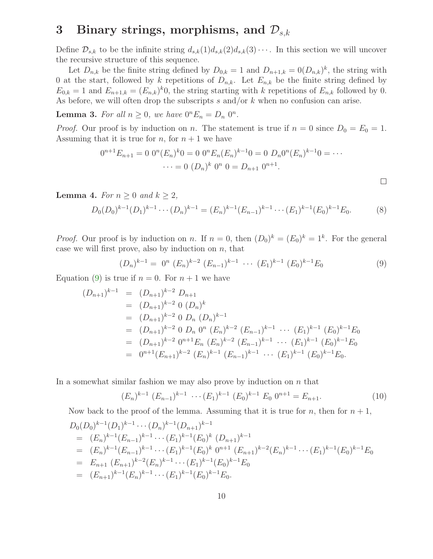## <span id="page-9-4"></span>3 Binary strings, morphisms, and  $\mathcal{D}_{s,k}$

Define  $\mathcal{D}_{s,k}$  to be the infinite string  $d_{s,k}(1)d_{s,k}(2)d_{s,k}(3)\cdots$ . In this section we will uncover the recursive structure of this sequence.

Let  $D_{n,k}$  be the finite string defined by  $D_{0,k} = 1$  and  $D_{n+1,k} = 0(D_{n,k})^k$ , the string with 0 at the start, followed by k repetitions of  $D_{n,k}$ . Let  $E_{n,k}$  be the finite string defined by  $E_{0,k} = 1$  and  $E_{n+1,k} = (E_{n,k})^k 0$ , the string starting with k repetitions of  $E_{n,k}$  followed by 0. As before, we will often drop the subscripts  $s$  and/or  $k$  when no confusion can arise.

<span id="page-9-3"></span>**Lemma 3.** For all  $n \geq 0$ , we have  $0^n E_n = D_n 0^n$ .

*Proof.* Our proof is by induction on n. The statement is true if  $n = 0$  since  $D_0 = E_0 = 1$ . Assuming that it is true for n, for  $n + 1$  we have

<span id="page-9-2"></span>
$$
0^{n+1}E_{n+1} = 0 \t 0^n(E_n)^{k}0 = 0 \t 0^nE_n(E_n)^{k-1}0 = 0 \t D_n 0^n(E_n)^{k-1}0 = \cdots
$$

$$
\cdots = 0 \t (D_n)^{k} \t 0^n \t 0 = D_{n+1} \t 0^{n+1}.
$$

**Lemma 4.** For  $n \geq 0$  and  $k \geq 2$ ,

$$
D_0(D_0)^{k-1}(D_1)^{k-1}\cdots (D_n)^{k-1} = (E_n)^{k-1}(E_{n-1})^{k-1}\cdots (E_1)^{k-1}(E_0)^{k-1}E_0.
$$
 (8)

*Proof.* Our proof is by induction on n. If  $n = 0$ , then  $(D_0)^k = (E_0)^k = 1^k$ . For the general case we will first prove, also by induction on  $n$ , that

<span id="page-9-0"></span>
$$
(D_n)^{k-1} = 0^n (E_n)^{k-2} (E_{n-1})^{k-1} \cdots (E_1)^{k-1} (E_0)^{k-1} E_0
$$
\n(9)

 $\Box$ 

Equation [\(9\)](#page-9-0) is true if  $n = 0$ . For  $n + 1$  we have

$$
(D_{n+1})^{k-1} = (D_{n+1})^{k-2} D_{n+1}
$$
  
\n
$$
= (D_{n+1})^{k-2} 0 (D_n)^k
$$
  
\n
$$
= (D_{n+1})^{k-2} 0 D_n (D_n)^{k-1}
$$
  
\n
$$
= (D_{n+1})^{k-2} 0 D_n 0^n (E_n)^{k-2} (E_{n-1})^{k-1} \cdots (E_1)^{k-1} (E_0)^{k-1} E_0
$$
  
\n
$$
= (D_{n+1})^{k-2} 0^{n+1} E_n (E_n)^{k-2} (E_{n-1})^{k-1} \cdots (E_1)^{k-1} (E_0)^{k-1} E_0
$$
  
\n
$$
= 0^{n+1} (E_{n+1})^{k-2} (E_n)^{k-1} (E_{n-1})^{k-1} \cdots (E_1)^{k-1} (E_0)^{k-1} E_0.
$$

In a somewhat similar fashion we may also prove by induction on  $n$  that

<span id="page-9-1"></span>
$$
(E_n)^{k-1} (E_{n-1})^{k-1} \cdots (E_1)^{k-1} (E_0)^{k-1} E_0 0^{n+1} = E_{n+1}.
$$
 (10)

Now back to the proof of the lemma. Assuming that it is true for n, then for  $n + 1$ ,

$$
D_0(D_0)^{k-1}(D_1)^{k-1}\cdots (D_n)^{k-1}(D_{n+1})^{k-1}
$$
  
\n
$$
= (E_n)^{k-1}(E_{n-1})^{k-1}\cdots (E_1)^{k-1}(E_0)^k (D_{n+1})^{k-1}
$$
  
\n
$$
= (E_n)^{k-1}(E_{n-1})^{k-1}\cdots (E_1)^{k-1}(E_0)^k 0^{n+1} (E_{n+1})^{k-2}(E_n)^{k-1}\cdots (E_1)^{k-1}(E_0)^{k-1}E_0
$$
  
\n
$$
= E_{n+1} (E_{n+1})^{k-2}(E_n)^{k-1}\cdots (E_1)^{k-1}(E_0)^{k-1}E_0
$$
  
\n
$$
= (E_{n+1})^{k-1}(E_n)^{k-1}\cdots (E_1)^{k-1}(E_0)^{k-1}E_0.
$$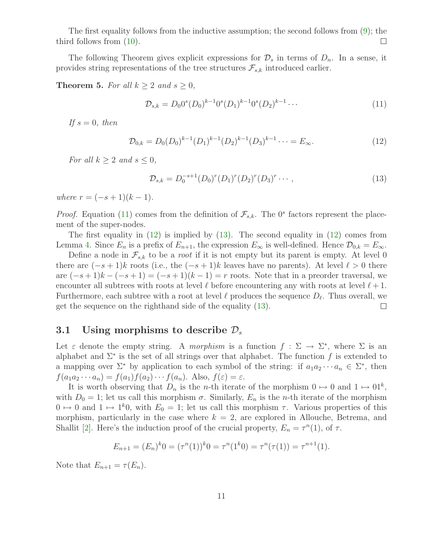The first equality follows from the inductive assumption; the second follows from [\(9\)](#page-9-0); the third follows from [\(10\)](#page-9-1).  $\Box$ 

The following Theorem gives explicit expressions for  $\mathcal{D}_s$  in terms of  $D_n$ . In a sense, it provides string representations of the tree structures  $\mathcal{F}_{s,k}$  introduced earlier.

#### **Theorem 5.** For all  $k \geq 2$  and  $s \geq 0$ ,

<span id="page-10-0"></span>
$$
\mathcal{D}_{s,k} = D_0 0^s (D_0)^{k-1} 0^s (D_1)^{k-1} 0^s (D_2)^{k-1} \cdots \tag{11}
$$

<span id="page-10-1"></span>If  $s = 0$ , then

<span id="page-10-2"></span>
$$
\mathcal{D}_{0,k} = D_0(D_0)^{k-1} (D_1)^{k-1} (D_2)^{k-1} (D_3)^{k-1} \cdots = E_{\infty}.
$$
\n(12)

For all  $k \geq 2$  and  $s \leq 0$ ,

$$
\mathcal{D}_{s,k} = D_0^{-s+1} (D_0)^r (D_1)^r (D_2)^r (D_3)^r \cdots, \qquad (13)
$$

where  $r = (-s + 1)(k - 1)$ .

*Proof.* Equation [\(11\)](#page-10-0) comes from the definition of  $\mathcal{F}_{s,k}$ . The 0<sup>s</sup> factors represent the placement of the super-nodes.

The first equality in  $(12)$  is implied by  $(13)$ . The second equality in  $(12)$  comes from Lemma [4.](#page-9-2) Since  $E_n$  is a prefix of  $E_{n+1}$ , the expression  $E_{\infty}$  is well-defined. Hence  $\mathcal{D}_{0,k} = E_{\infty}$ .

Define a node in  $\mathcal{F}_{s,k}$  to be a *root* if it is not empty but its parent is empty. At level 0 there are  $(-s+1)k$  roots (i.e., the  $(-s+1)k$  leaves have no parents). At level  $\ell > 0$  there are  $(-s+1)k - (-s+1) = (-s+1)(k-1) = r$  roots. Note that in a preorder traversal, we encounter all subtrees with roots at level  $\ell$  before encountering any with roots at level  $\ell+1$ . Furthermore, each subtree with a root at level  $\ell$  produces the sequence  $D_{\ell}$ . Thus overall, we get the sequence on the righthand side of the equality [\(13\)](#page-10-2).  $\Box$ 

#### 3.1 Using morphisms to describe  $\mathcal{D}_s$

Let  $\varepsilon$  denote the empty string. A *morphism* is a function  $f: \Sigma \to \Sigma^*$ , where  $\Sigma$  is an alphabet and  $\Sigma^*$  is the set of all strings over that alphabet. The function f is extended to a mapping over  $\Sigma^*$  by application to each symbol of the string: if  $a_1 a_2 \cdots a_n \in \Sigma^*$ , then  $f(a_1a_2\cdots a_n) = f(a_1)f(a_2)\cdots f(a_n)$ . Also,  $f(\varepsilon) = \varepsilon$ .

It is worth observing that  $D_n$  is the *n*-th iterate of the morphism  $0 \mapsto 0$  and  $1 \mapsto 01^k$ , with  $D_0 = 1$ ; let us call this morphism  $\sigma$ . Similarly,  $E_n$  is the *n*-th iterate of the morphism  $0 \mapsto 0$  and  $1 \mapsto 1^k 0$ , with  $E_0 = 1$ ; let us call this morphism  $\tau$ . Various properties of this morphism, particularly in the case where  $k = 2$ , are explored in Allouche, Betrema, and Shallit [\[2\]](#page-34-9). Here's the induction proof of the crucial property,  $E_n = \tau^n(1)$ , of  $\tau$ .

$$
E_{n+1} = (E_n)^k 0 = (\tau^n(1))^k 0 = \tau^n(1^k 0) = \tau^n(\tau(1)) = \tau^{n+1}(1).
$$

Note that  $E_{n+1} = \tau(E_n)$ .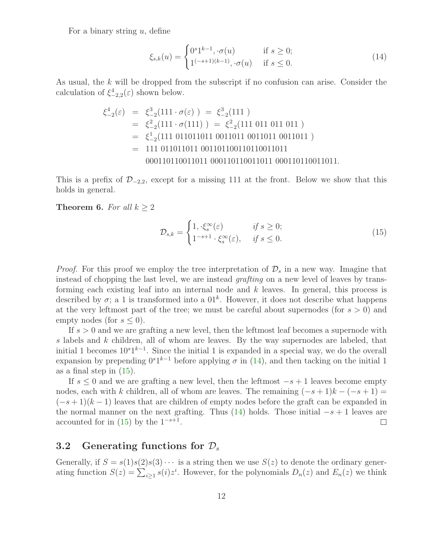For a binary string  $u$ , define

<span id="page-11-0"></span>
$$
\xi_{s,k}(u) = \begin{cases} 0^s 1^{k-1}, \cdot \sigma(u) & \text{if } s \ge 0; \\ 1^{(-s+1)(k-1)}, \cdot \sigma(u) & \text{if } s \le 0. \end{cases}
$$
 (14)

As usual, the k will be dropped from the subscript if no confusion can arise. Consider the calculation of  $\xi_{-2,2}^4(\varepsilon)$  shown below.

ξ 4 −2 (ε) = ξ 3 −2 (111 · σ(ε) ) = ξ 3 −2 (111 ) = ξ 2 −2 (111 · σ(111) ) = ξ 2 −2 (111 011 011 011 ) = ξ 1 −2 (111 011011011 0011011 0011011 0011011 ) = 111 011011011 001101100110110011011 000110110011011 000110110011011 000110110011011.

This is a prefix of  $\mathcal{D}_{-2,2}$ , except for a missing 111 at the front. Below we show that this holds in general.

<span id="page-11-1"></span>**Theorem 6.** For all  $k \geq 2$ 

$$
\mathcal{D}_{s,k} = \begin{cases} 1, \cdot \xi_s^{\infty}(\varepsilon) & \text{if } s \ge 0; \\ 1^{-s+1} \cdot \xi_s^{\infty}(\varepsilon), & \text{if } s \le 0. \end{cases} \tag{15}
$$

*Proof.* For this proof we employ the tree interpretation of  $\mathcal{D}_s$  in a new way. Imagine that instead of chopping the last level, we are instead grafting on a new level of leaves by transforming each existing leaf into an internal node and  $k$  leaves. In general, this process is described by  $\sigma$ ; a 1 is transformed into a  $01^k$ . However, it does not describe what happens at the very leftmost part of the tree; we must be careful about supernodes (for  $s > 0$ ) and empty nodes (for  $s \leq 0$ ).

If  $s > 0$  and we are grafting a new level, then the leftmost leaf becomes a supernode with s labels and k children, all of whom are leaves. By the way supernodes are labeled, that initial 1 becomes  $10^{s}1^{k-1}$ . Since the initial 1 is expanded in a special way, we do the overall expansion by prepending  $0<sup>s</sup>1<sup>k-1</sup>$  before applying  $\sigma$  in [\(14\)](#page-11-0), and then tacking on the initial 1 as a final step in  $(15)$ .

If  $s \leq 0$  and we are grafting a new level, then the leftmost  $-s+1$  leaves become empty nodes, each with k children, all of whom are leaves. The remaining  $(-s+1)k - (-s+1) =$  $(-s+1)(k-1)$  leaves that are children of empty nodes before the graft can be expanded in the normal manner on the next grafting. Thus [\(14\)](#page-11-0) holds. Those initial  $-s+1$  leaves are accounted for in  $(15)$  by the  $1^{-s+1}$ .  $\Box$ 

#### 3.2 Generating functions for  $\mathcal{D}_s$

Generally, if  $S = s(1)s(2)s(3) \cdots$  is a string then we use  $S(z)$  to denote the ordinary generating function  $S(z) = \sum_{i \geq 1} s(i)z^i$ . However, for the polynomials  $D_n(z)$  and  $E_n(z)$  we think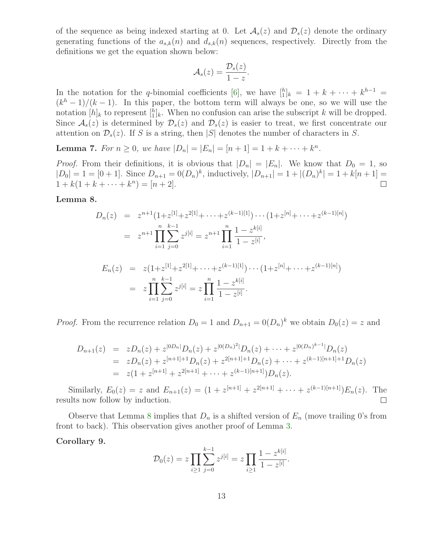of the sequence as being indexed starting at 0. Let  $\mathcal{A}_s(z)$  and  $\mathcal{D}_s(z)$  denote the ordinary generating functions of the  $a_{s,k}(n)$  and  $d_{s,k}(n)$  sequences, respectively. Directly from the definitions we get the equation shown below:

$$
\mathcal{A}_s(z) = \frac{\mathcal{D}_s(z)}{1-z}.
$$

In the notation for the q-binomial coefficients [\[6\]](#page-34-10), we have  $\binom{h}{1}$  = 1 + k + ··· + k<sup>h-1</sup> =  $(k<sup>h</sup> - 1)/(k - 1)$ . In this paper, the bottom term will always be one, so we will use the notation  $[h]_k$  to represent  $\binom{h}{1}$ . When no confusion can arise the subscript k will be dropped. Since  $\mathcal{A}_s(z)$  is determined by  $\mathcal{D}_s(z)$  and  $\mathcal{D}_s(z)$  is easier to treat, we first concentrate our attention on  $\mathcal{D}_s(z)$ . If S is a string, then |S| denotes the number of characters in S.

**Lemma 7.** For  $n \ge 0$ , we have  $|D_n| = |E_n| = [n+1] = 1 + k + \cdots + k^n$ .

*Proof.* From their definitions, it is obvious that  $|D_n| = |E_n|$ . We know that  $D_0 = 1$ , so  $|D_0| = 1 = [0 + 1]$ . Since  $D_{n+1} = 0(D_n)^k$ , inductively,  $|D_{n+1}| = 1 + |(D_n)^k| = 1 + k[n+1] =$  $1 + k(1 + k + \cdots + k^n) = [n + 2].$  $\Box$ 

<span id="page-12-0"></span>Lemma 8.

$$
D_n(z) = z^{n+1} (1 + z^{[1]} + z^{2[1]} + \dots + z^{(k-1)[1]}) \cdots (1 + z^{[n]} + \dots + z^{(k-1)[n]})
$$
  
\n
$$
= z^{n+1} \prod_{i=1}^n \sum_{j=0}^{k-1} z^{j[i]} = z^{n+1} \prod_{i=1}^n \frac{1 - z^{k[i]}}{1 - z^{[i]}},
$$
  
\n
$$
E_n(z) = z (1 + z^{[1]} + z^{2[1]} + \dots + z^{(k-1)[1]}) \cdots (1 + z^{[n]} + \dots + z^{(k-1)[n]})
$$
  
\n
$$
= z \prod_{i=1}^n \sum_{j=0}^{k-1} z^{j[i]} = z \prod_{i=1}^n \frac{1 - z^{k[i]}}{1 - z^{[i]}}.
$$

*Proof.* From the recurrence relation  $D_0 = 1$  and  $D_{n+1} = 0(D_n)^k$  we obtain  $D_0(z) = z$  and

$$
D_{n+1}(z) = zD_n(z) + z^{[0D_n]}D_n(z) + z^{[0(D_n)^2]}D_n(z) + \cdots + z^{[0(D_n)^{k-1}]}D_n(z)
$$
  
=  $zD_n(z) + z^{[n+1]+1}D_n(z) + z^{2[n+1]+1}D_n(z) + \cdots + z^{(k-1)[n+1]+1}D_n(z)$   
=  $z(1 + z^{[n+1]} + z^{2[n+1]} + \cdots + z^{(k-1)[n+1]})D_n(z).$ 

Similarly,  $E_0(z) = z$  and  $E_{n+1}(z) = (1 + z^{[n+1]} + z^{2[n+1]} + \cdots + z^{(k-1)[n+1]})E_n(z)$ . The results now follow by induction.  $\Box$ 

<span id="page-12-1"></span>Observe that Lemma [8](#page-12-0) implies that  $D_n$  is a shifted version of  $E_n$  (move trailing 0's from front to back). This observation gives another proof of Lemma [3.](#page-9-3)

#### Corollary 9.

$$
\mathcal{D}_0(z) = z \prod_{i \geq 1} \sum_{j=0}^{k-1} z^{j[i]} = z \prod_{i \geq 1} \frac{1 - z^{k[i]}}{1 - z^{[i]}}.
$$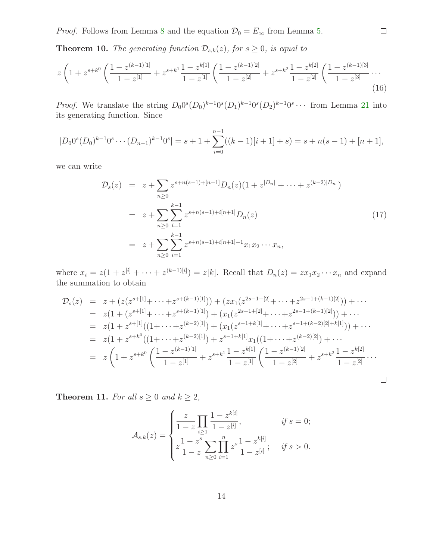*Proof.* Follows from Lemma [8](#page-12-0) and the equation  $\mathcal{D}_0 = E_\infty$  from Lemma [5.](#page-10-2)

**Theorem 10.** The generating function  $\mathcal{D}_{s,k}(z)$ , for  $s \geq 0$ , is equal to

$$
z\left(1+z^{s+k^0}\left(\frac{1-z^{(k-1)[1]}}{1-z^{[1]}}+z^{s+k^1}\frac{1-z^{k[1]}}{1-z^{[1]}}\left(\frac{1-z^{(k-1)[2]}}{1-z^{[2]}}+z^{s+k^2}\frac{1-z^{k[2]}}{1-z^{[2]}}\left(\frac{1-z^{(k-1)[3]}}{1-z^{[3]}}\cdots\right)\right.\right)
$$
(16)

*Proof.* We translate the string  $D_0 0^s (D_0)^{k-1} 0^s (D_1)^{k-1} 0^s (D_2)^{k-1} 0^s \cdots$  from Lemma [21](#page-23-0) into its generating function. Since

$$
|D_00^s(D_0)^{k-1}0^s\cdots(D_{n-1})^{k-1}0^s|=s+1+\sum_{i=0}^{n-1}((k-1)[i+1]+s)=s+n(s-1)+[n+1],
$$

<span id="page-13-0"></span>we can write

$$
\mathcal{D}_s(z) = z + \sum_{n\geq 0} z^{s+n(s-1)+[n+1]} D_n(z) (1 + z^{|D_n|} + \dots + z^{(k-2)|D_n|})
$$
  
\n
$$
= z + \sum_{n\geq 0} \sum_{i=1}^{k-1} z^{s+n(s-1)+i[n+1]} D_n(z)
$$
  
\n
$$
= z + \sum_{n\geq 0} \sum_{i=1}^{k-1} z^{s+n(s-1)+i[n+1]+1} x_1 x_2 \cdots x_n,
$$
\n(17)

where  $x_i = z(1 + z^{[i]} + \cdots + z^{(k-1)[i]}) = z[k]$ . Recall that  $D_n(z) = zx_1x_2\cdots x_n$  and expand the summation to obtain

$$
\mathcal{D}_s(z) = z + (z(z^{s+[1]} + \dots + z^{s+(k-1)[1]})) + (zx_1(z^{2s-1+[2]} + \dots + z^{2s-1+(k-1)[2]})) + \dots
$$
  
\n
$$
= z(1 + (z^{s+[1]} + \dots + z^{s+(k-1)[1]}) + (x_1(z^{2s-1+[2]} + \dots + z^{2s-1+(k-1)[2]})) + \dots
$$
  
\n
$$
= z(1 + z^{s+[1]}((1 + \dots + z^{(k-2)[1]}) + (x_1(z^{s-1+k[1]} + \dots + z^{s-1+(k-2)[2]+k[1]})) + \dots
$$
  
\n
$$
= z(1 + z^{s+k^0}((1 + \dots + z^{(k-2)[1]}) + z^{s-1+k[1]}x_1((1 + \dots + z^{(k-2)[2]}) + \dots
$$
  
\n
$$
= z\left(1 + z^{s+k^0}\left(\frac{1 - z^{(k-1)[1]}}{1 - z^{[1]}} + z^{s+k^1}\frac{1 - z^{k[1]}}{1 - z^{[1]}}\left(\frac{1 - z^{(k-1)[2]}}{1 - z^{[2]}} + z^{s+k^2}\frac{1 - z^{k[2]}}{1 - z^{[2]}}\dots\right)\right)
$$

<span id="page-13-1"></span>**Theorem 11.** For all  $s \geq 0$  and  $k \geq 2$ ,

$$
\mathcal{A}_{s,k}(z) = \begin{cases} \frac{z}{1-z} \prod_{i\geq 1} \frac{1-z^{k[i]}}{1-z^{i]}}, & \text{if } s = 0; \\ z \frac{1-z^s}{1-z} \sum_{n\geq 0} \prod_{i=1}^n z^s \frac{1-z^{k[i]}}{1-z^{[i]}}; & \text{if } s > 0. \end{cases}
$$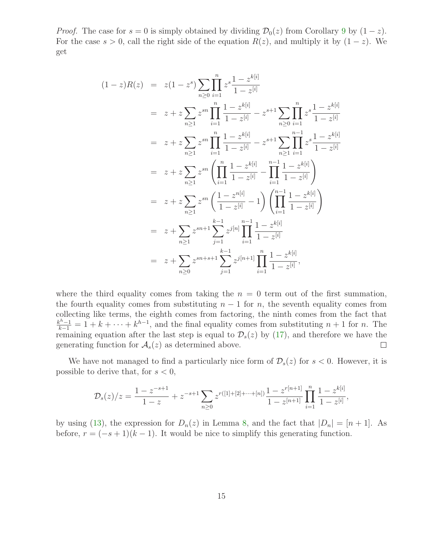*Proof.* The case for  $s = 0$  is simply obtained by dividing  $\mathcal{D}_0(z)$  from Corollary [9](#page-12-1) by  $(1 - z)$ . For the case  $s > 0$ , call the right side of the equation  $R(z)$ , and multiply it by  $(1 - z)$ . We get

$$
(1-z)R(z) = z(1-z^{s})\sum_{n\geq 0} \prod_{i=1}^{n} z^{s} \frac{1-z^{k[i]}}{1-z^{[i]}}
$$
  
\n
$$
= z + z\sum_{n\geq 1} z^{sn} \prod_{i=1}^{n} \frac{1-z^{k[i]}}{1-z^{[i]}} - z^{s+1} \sum_{n\geq 0} \prod_{i=1}^{n} z^{s} \frac{1-z^{k[i]}}{1-z^{[i]}}
$$
  
\n
$$
= z + z\sum_{n\geq 1} z^{sn} \prod_{i=1}^{n} \frac{1-z^{k[i]}}{1-z^{[i]}} - z^{s+1} \sum_{n\geq 1} \prod_{i=1}^{n-1} z^{s} \frac{1-z^{k[i]}}{1-z^{[i]}}
$$
  
\n
$$
= z + z\sum_{n\geq 1} z^{sn} \left( \prod_{i=1}^{n} \frac{1-z^{k[i]}}{1-z^{[i]}} - \prod_{i=1}^{n-1} \frac{1-z^{k[i]}}{1-z^{[i]}} \right)
$$
  
\n
$$
= z + z\sum_{n\geq 1} z^{sn} \left( \frac{1-z^{n[i]}}{1-z^{[i]}} - 1 \right) \left( \prod_{i=1}^{n-1} \frac{1-z^{k[i]}}{1-z^{[i]}} \right)
$$
  
\n
$$
= z + \sum_{n\geq 1} z^{sn+1} \sum_{j=1}^{k-1} z^{j[n]} \prod_{i=1}^{n-1} \frac{1-z^{k[i]}}{1-z^{[i]}}
$$
  
\n
$$
= z + \sum_{n\geq 0} z^{sn+s+1} \sum_{j=1}^{k-1} z^{j[n+1]} \prod_{i=1}^{n} \frac{1-z^{k[i]}}{1-z^{[i]}},
$$

where the third equality comes from taking the  $n = 0$  term out of the first summation, the fourth equality comes from substituting  $n - 1$  for n, the seventh equality comes from collecting like terms, the eighth comes from factoring, the ninth comes from the fact that  $\frac{k^{h}-1}{k-1} = 1 + k + \cdots + k^{h-1}$ , and the final equality comes from substituting  $n + 1$  for n. The remaining equation after the last step is equal to  $\mathcal{D}_s(z)$  by  $(17)$ , and therefore we have the generating function for  $A_s(z)$  as determined above.  $\Box$ 

We have not managed to find a particularly nice form of  $\mathcal{D}_s(z)$  for  $s < 0$ . However, it is possible to derive that, for  $s < 0$ ,

$$
\mathcal{D}_s(z)/z = \frac{1-z^{-s+1}}{1-z} + z^{-s+1} \sum_{n\geq 0} z^{r([1]+[2]+\cdots+[n])} \frac{1-z^{r[n+1]}}{1-z^{[n+1]}} \prod_{i=1}^n \frac{1-z^{k[i]}}{1-z^{[i]}},
$$

by using [\(13\)](#page-10-2), the expression for  $D_n(z)$  in Lemma [8,](#page-12-0) and the fact that  $|D_n| = [n + 1]$ . As before,  $r = (-s + 1)(k - 1)$ . It would be nice to simplify this generating function.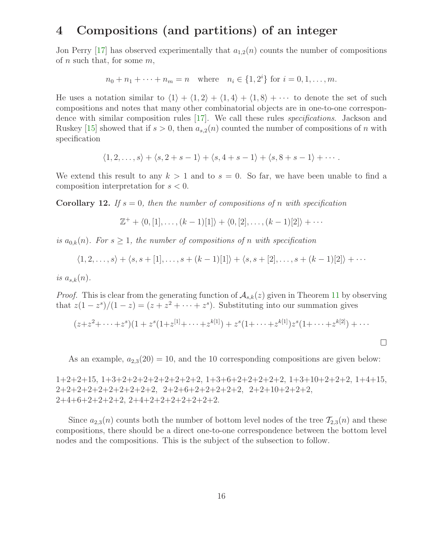### 4 Compositions (and partitions) of an integer

Jon Perry [\[17\]](#page-34-11) has observed experimentally that  $a_{1,2}(n)$  counts the number of compositions of n such that, for some  $m$ ,

 $n_0 + n_1 + \cdots + n_m = n$  where  $n_i \in \{1, 2^i\}$  for  $i = 0, 1, \ldots, m$ .

He uses a notation similar to  $\langle 1 \rangle + \langle 1, 2 \rangle + \langle 1, 4 \rangle + \langle 1, 8 \rangle + \cdots$  to denote the set of such compositions and notes that many other combinatorial objects are in one-to-one correspondence with similar composition rules [\[17\]](#page-34-11). We call these rules specifications. Jackson and Ruskey [\[15\]](#page-34-2) showed that if  $s > 0$ , then  $a_{s,2}(n)$  counted the number of compositions of n with specification

$$
\langle 1,2,\ldots,s\rangle + \langle s,2+s-1\rangle + \langle s,4+s-1\rangle + \langle s,8+s-1\rangle + \cdots.
$$

<span id="page-15-0"></span>We extend this result to any  $k > 1$  and to  $s = 0$ . So far, we have been unable to find a composition interpretation for  $s < 0$ .

**Corollary 12.** If  $s = 0$ , then the number of compositions of n with specification

$$
\mathbb{Z}^+ + \langle 0, [1], \dots, (k-1)[1] \rangle + \langle 0, [2], \dots, (k-1)[2] \rangle + \cdots
$$

is  $a_{0,k}(n)$ . For  $s \geq 1$ , the number of compositions of n with specification

$$
\langle 1,2,\ldots,s\rangle + \langle s,s+ [1],\ldots,s+ (k-1)[1]\rangle + \langle s,s+ [2],\ldots,s+ (k-1)[2]\rangle + \cdots
$$

is  $a_{s,k}(n)$ .

*Proof.* This is clear from the generating function of  $A_{s,k}(z)$  given in Theorem [11](#page-13-1) by observing that  $z(1-z^s)/(1-z) = (z + z^2 + \cdots + z^s)$ . Substituting into our summation gives

$$
(z+z^2+\cdots+z^s)(1+z^s(1+z^{[1]}+\cdots+z^{k[1]})+z^s(1+\cdots+z^{k[1]})z^s(1+\cdots+z^{k[2]})+\cdots
$$

As an example,  $a_{2,3}(20) = 10$ , and the 10 corresponding compositions are given below:

 $\Box$ 

1+2+2+15, 1+3+2+2+2+2+2+2+2+2, 1+3+6+2+2+2+2+2, 1+3+10+2+2+2, 1+4+15,  $2+2+2+2+2+2+2+2+2$ ,  $2+2+6+2+2+2+2+2$ ,  $2+2+10+2+2+2$ , 2+4+6+2+2+2+2, 2+4+2+2+2+2+2+2+2.

Since  $a_{2,3}(n)$  counts both the number of bottom level nodes of the tree  $\mathcal{T}_{2,3}(n)$  and these compositions, there should be a direct one-to-one correspondence between the bottom level nodes and the compositions. This is the subject of the subsection to follow.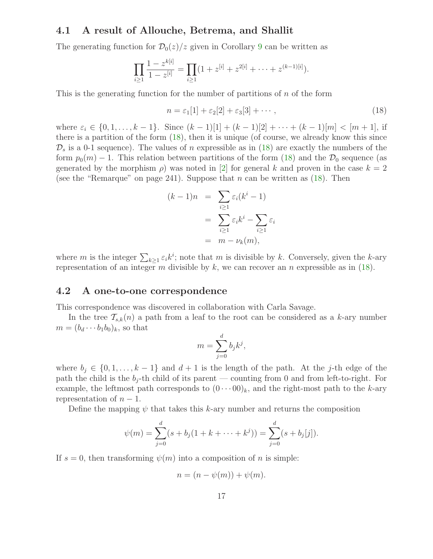#### 4.1 A result of Allouche, Betrema, and Shallit

The generating function for  $\mathcal{D}_0(z)/z$  given in Corollary [9](#page-12-1) can be written as

$$
\prod_{i\geq 1} \frac{1-z^{k[i]}}{1-z^{[i]}} = \prod_{i\geq 1} (1+z^{[i]}+z^{2[i]}+\cdots+z^{(k-1)[i]}).
$$

This is the generating function for the number of partitions of  $n$  of the form

<span id="page-16-0"></span>
$$
n = \varepsilon_1[1] + \varepsilon_2[2] + \varepsilon_3[3] + \cdots, \tag{18}
$$

where  $\varepsilon_i \in \{0, 1, \ldots, k-1\}$ . Since  $(k-1)[1] + (k-1)[2] + \cdots + (k-1)[m] < [m+1]$ , if there is a partition of the form  $(18)$ , then it is unique (of course, we already know this since  $\mathcal{D}_s$  is a 0-1 sequence). The values of n expressible as in [\(18\)](#page-16-0) are exactly the numbers of the form  $p_0(m) - 1$ . This relation between partitions of the form [\(18\)](#page-16-0) and the  $\mathcal{D}_0$  sequence (as generated by the morphism  $\rho$ ) was noted in [\[2\]](#page-34-9) for general k and proven in the case  $k = 2$ (see the "Remarque" on page 241). Suppose that  $n$  can be written as [\(18\)](#page-16-0). Then

$$
(k-1)n = \sum_{i\geq 1} \varepsilon_i (k^i - 1)
$$

$$
= \sum_{i\geq 1} \varepsilon_i k^i - \sum_{i\geq 1} \varepsilon_i
$$

$$
= m - \nu_k(m),
$$

where m is the integer  $\sum_{k\geq 1} \varepsilon_i k^i$ ; note that m is divisible by k. Conversely, given the k-ary representation of an integer m divisible by k, we can recover an n expressible as in  $(18)$ .

#### <span id="page-16-1"></span>4.2 A one-to-one correspondence

This correspondence was discovered in collaboration with Carla Savage.

In the tree  $\mathcal{T}_{s,k}(n)$  a path from a leaf to the root can be considered as a k-ary number  $m = (b_d \cdots b_1 b_0)_k$ , so that

$$
m = \sum_{j=0}^{d} b_j k^j,
$$

where  $b_i \in \{0, 1, \ldots, k-1\}$  and  $d+1$  is the length of the path. At the j-th edge of the path the child is the  $b_j$ -th child of its parent — counting from 0 and from left-to-right. For example, the leftmost path corresponds to  $(0 \cdots 00)_k$ , and the right-most path to the k-ary representation of  $n-1$ .

Define the mapping  $\psi$  that takes this k-ary number and returns the composition

$$
\psi(m) = \sum_{j=0}^{d} (s + b_j(1 + k + \dots + k^j)) = \sum_{j=0}^{d} (s + b_j[j]).
$$

If  $s = 0$ , then transforming  $\psi(m)$  into a composition of n is simple:

$$
n = (n - \psi(m)) + \psi(m).
$$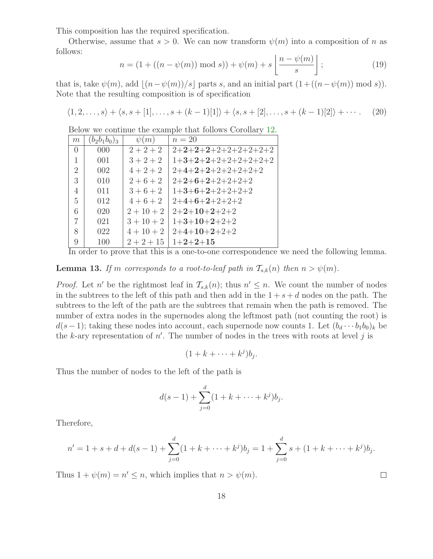This composition has the required specification.

<span id="page-17-1"></span>Otherwise, assume that  $s > 0$ . We can now transform  $\psi(m)$  into a composition of n as follows:  $\sqrt{2}$ 

<span id="page-17-2"></span>
$$
n = (1 + ((n - \psi(m)) \bmod s)) + \psi(m) + s \left[ \frac{n - \psi(m)}{s} \right];
$$
 (19)

that is, take  $\psi(m)$ , add  $|(n-\psi(m))/s|$  parts s, and an initial part  $(1+(\sqrt{(n-\psi(m))} \mod s))$ . Note that the resulting composition is of specification

$$
\langle 1, 2, \ldots, s \rangle + \langle s, s + [1], \ldots, s + (k-1)[1] \rangle + \langle s, s + [2], \ldots, s + (k-1)[2] \rangle + \cdots. \tag{20}
$$

Below we continue the example that follows Corollary [12.](#page-15-0)

| m              | $(b_2b_1b_0)_3$ | $\psi(m)$    | $n=20$                |
|----------------|-----------------|--------------|-----------------------|
| $\overline{0}$ | 000             | $2 + 2 + 2$  | $2+2+2+2+2+2+2+2+2+2$ |
| 1              | 001             | $3 + 2 + 2$  | $1+3+2+2+2+2+2+2+2+2$ |
| 2              | 002             | $4 + 2 + 2$  | $2+4+2+2+2+2+2+2+2$   |
| 3              | 010             | $2+6+2$      | $2+2+6+2+2+2+2+2$     |
| 4              | 011             | $3+6+2$      | $1+3+6+2+2+2+2+2$     |
| $\overline{5}$ | 012             | $4+6+2$      | $2+4+6+2+2+2+2$       |
| 6              | 020             | $2+10+2$     | $2+2+10+2+2+2$        |
| 7              | 021             | $3+10+2$     | $1+3+10+2+2+2$        |
| 8              | 022             | $4+10+2$     | $2+4+10+2+2+2$        |
| 9              | 100             | $2 + 2 + 15$ | $1+2+2+15$            |

In order to prove that this is a one-to-one correspondence we need the following lemma.

<span id="page-17-0"></span>**Lemma 13.** If m corresponds to a root-to-leaf path in  $\mathcal{T}_{s,k}(n)$  then  $n > \psi(m)$ .

*Proof.* Let n' be the rightmost leaf in  $\mathcal{T}_{s,k}(n)$ ; thus  $n' \leq n$ . We count the number of nodes in the subtrees to the left of this path and then add in the  $1 + s + d$  nodes on the path. The subtrees to the left of the path are the subtrees that remain when the path is removed. The number of extra nodes in the supernodes along the leftmost path (not counting the root) is  $d(s-1)$ ; taking these nodes into account, each supernode now counts 1. Let  $(b_d \cdots b_1 b_0)_k$  be the k-ary representation of  $n'$ . The number of nodes in the trees with roots at level j is

 $(1 + k + \cdots + k^j)b_j.$ 

Thus the number of nodes to the left of the path is

$$
d(s-1) + \sum_{j=0}^{d} (1 + k + \dots + k^j)b_j.
$$

Therefore,

$$
n' = 1 + s + d + d(s - 1) + \sum_{j=0}^{d} (1 + k + \dots + k^j)b_j = 1 + \sum_{j=0}^{d} s + (1 + k + \dots + k^j)b_j.
$$

 $\Box$ 

Thus  $1 + \psi(m) = n' \leq n$ , which implies that  $n > \psi(m)$ .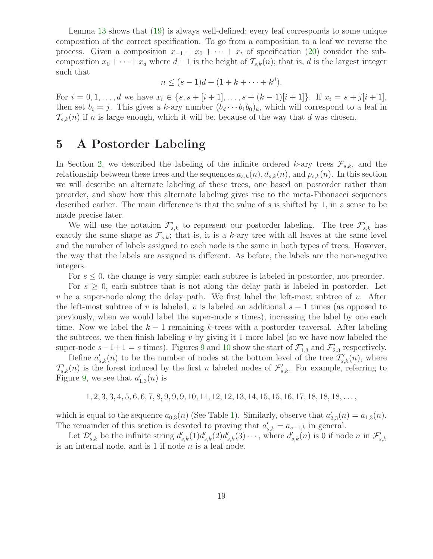Lemma [13](#page-17-0) shows that [\(19\)](#page-17-1) is always well-defined; every leaf corresponds to some unique composition of the correct specification. To go from a composition to a leaf we reverse the process. Given a composition  $x_{-1} + x_0 + \cdots + x_t$  of specification [\(20\)](#page-17-2) consider the subcomposition  $x_0 + \cdots + x_d$  where  $d+1$  is the height of  $\mathcal{T}_{s,k}(n)$ ; that is, d is the largest integer such that

$$
n \le (s-1)d + (1 + k + \dots + k^d).
$$

For  $i = 0, 1, \ldots, d$  we have  $x_i \in \{s, s + [i + 1], \ldots, s + (k - 1)[i + 1]\}$ . If  $x_i = s + j[i + 1]$ , then set  $b_i = j$ . This gives a k-ary number  $(b_d \cdots b_1 b_0)_k$ , which will correspond to a leaf in  $\mathcal{T}_{s,k}(n)$  if n is large enough, which it will be, because of the way that d was chosen.

### 5 A Postorder Labeling

In Section [2,](#page-3-2) we described the labeling of the infinite ordered k-ary trees  $\mathcal{F}_{s,k}$ , and the relationship between these trees and the sequences  $a_{s,k}(n)$ ,  $d_{s,k}(n)$ , and  $p_{s,k}(n)$ . In this section we will describe an alternate labeling of these trees, one based on postorder rather than preorder, and show how this alternate labeling gives rise to the meta-Fibonacci sequences described earlier. The main difference is that the value of s is shifted by 1, in a sense to be made precise later.

We will use the notation  $\mathcal{F}'_{s,k}$  to represent our postorder labeling. The tree  $\mathcal{F}'_{s,k}$  has exactly the same shape as  $\mathcal{F}_{s,k}$ ; that is, it is a k-ary tree with all leaves at the same level and the number of labels assigned to each node is the same in both types of trees. However, the way that the labels are assigned is different. As before, the labels are the non-negative integers.

For  $s \leq 0$ , the change is very simple; each subtree is labeled in postorder, not preorder.

For  $s \geq 0$ , each subtree that is not along the delay path is labeled in postorder. Let v be a super-node along the delay path. We first label the left-most subtree of v. After the left-most subtree of v is labeled, v is labeled an additional  $s - 1$  times (as opposed to previously, when we would label the super-node s times), increasing the label by one each time. Now we label the  $k-1$  remaining k-trees with a postorder traversal. After labeling the subtrees, we then finish labeling  $v$  by giving it 1 more label (so we have now labeled the super-node  $s-1+1=s$  times). Figures [9](#page-19-0) and [10](#page-19-1) show the start of  $\mathcal{F}'_{1,3}$  and  $\mathcal{F}'_{2,3}$  respectively.

Define  $a'_{s,k}(n)$  to be the number of nodes at the bottom level of the tree  $\mathcal{T}'_{s,k}(n)$ , where  $\mathcal{T}'_{s,k}(n)$  is the forest induced by the first n labeled nodes of  $\mathcal{F}'_{s,k}$ . For example, referring to Figure [9,](#page-19-0) we see that  $a'_{1,3}(n)$  is

 $1, 2, 3, 3, 4, 5, 6, 6, 7, 8, 9, 9, 9, 10, 11, 12, 12, 13, 14, 15, 15, 16, 17, 18, 18, \ldots$ 

which is equal to the sequence  $a_{0,3}(n)$  (See Table [1\)](#page-5-0). Similarly, observe that  $a'_{2,3}(n) = a_{1,3}(n)$ . The remainder of this section is devoted to proving that  $a'_{s,k} = a_{s-1,k}$  in general.

Let  $\mathcal{D}'_{s,k}$  be the infinite string  $d'_{s,k}(1)d'_{s,k}(2)d'_{s,k}(3)\cdots$ , where  $d'_{s,k}(n)$  is 0 if node n in  $\mathcal{F}'_{s,k}$ is an internal node, and is  $1$  if node  $n$  is a leaf node.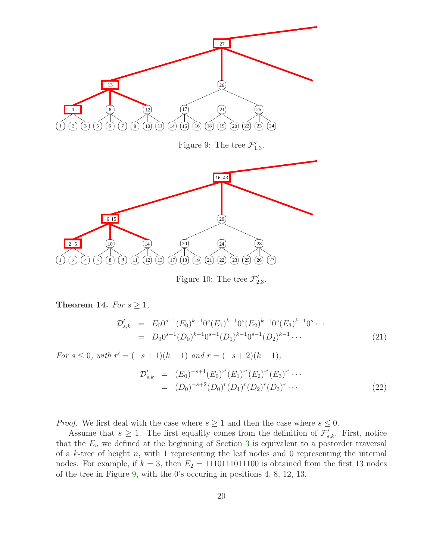

<span id="page-19-1"></span><span id="page-19-0"></span>Figure 10: The tree  $\mathcal{F}'_{2,3}$ .

<span id="page-19-2"></span>Theorem 14. For  $s \geq 1$ ,

$$
\mathcal{D}'_{s,k} = E_0 0^{s-1} (E_0)^{k-1} 0^s (E_1)^{k-1} 0^s (E_2)^{k-1} 0^s (E_3)^{k-1} 0^s \cdots \n= D_0 0^{s-1} (D_0)^{k-1} 0^{s-1} (D_1)^{k-1} 0^{s-1} (D_2)^{k-1} \cdots
$$
\n(21)

For 
$$
s \le 0
$$
, with  $r' = (-s+1)(k-1)$  and  $r = (-s+2)(k-1)$ ,  
\n
$$
\mathcal{D}'_{s,k} = (E_0)^{-s+1} (E_0)^{r'} (E_1)^{r'} (E_2)^{r'} (E_3)^{r'} \cdots
$$
\n
$$
= (D_0)^{-s+2} (D_0)^{r} (D_1)^{r} (D_2)^{r} (D_3)^{r} \cdots
$$
\n(22)

*Proof.* We first deal with the case where  $s \geq 1$  and then the case where  $s \leq 0$ .

Assume that  $s \geq 1$ . The first equality comes from the definition of  $\mathcal{F}'_{s,k}$ . First, notice that the  $E_n$  we defined at the beginning of Section [3](#page-9-4) is equivalent to a postorder traversal of a  $k$ -tree of height  $n$ , with 1 representing the leaf nodes and 0 representing the internal nodes. For example, if  $k = 3$ , then  $E_2 = 1110111011100$  is obtained from the first 13 nodes of the tree in Figure [9,](#page-19-0) with the 0's occuring in positions 4, 8, 12, 13.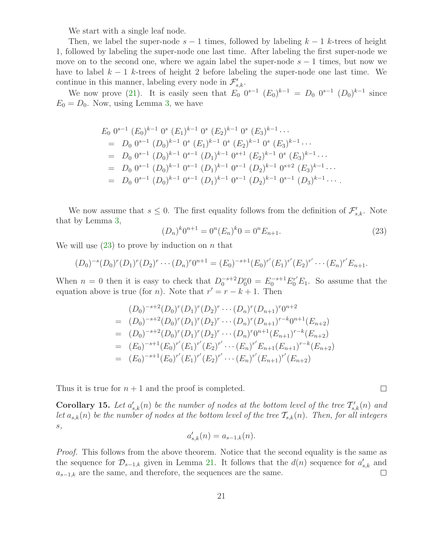We start with a single leaf node.

Then, we label the super-node  $s - 1$  times, followed by labeling  $k - 1$  k-trees of height 1, followed by labeling the super-node one last time. After labeling the first super-node we move on to the second one, where we again label the super-node  $s - 1$  times, but now we have to label  $k-1$  k-trees of height 2 before labeling the super-node one last time. We continue in this manner, labeling every node in  $\mathcal{F}'_{s,k}$ .

We now prove [\(21\)](#page-19-2). It is easily seen that  $E_0$   $0^{s-1}$   $(E_0)^{k-1} = D_0$   $0^{s-1}$   $(D_0)^{k-1}$  since  $E_0 = D_0$ . Now, using Lemma [3,](#page-9-3) we have

$$
E_0 0^{s-1} (E_0)^{k-1} 0^s (E_1)^{k-1} 0^s (E_2)^{k-1} 0^s (E_3)^{k-1} \cdots
$$
  
\n
$$
= D_0 0^{s-1} (D_0)^{k-1} 0^s (E_1)^{k-1} 0^s (E_2)^{k-1} 0^s (E_3)^{k-1} \cdots
$$
  
\n
$$
= D_0 0^{s-1} (D_0)^{k-1} 0^{s-1} (D_1)^{k-1} 0^{s+1} (E_2)^{k-1} 0^s (E_3)^{k-1} \cdots
$$
  
\n
$$
= D_0 0^{s-1} (D_0)^{k-1} 0^{s-1} (D_1)^{k-1} 0^{s-1} (D_2)^{k-1} 0^{s+2} (E_3)^{k-1} \cdots
$$
  
\n
$$
= D_0 0^{s-1} (D_0)^{k-1} 0^{s-1} (D_1)^{k-1} 0^{s-1} (D_2)^{k-1} 0^{s-1} (D_3)^{k-1} \cdots
$$

<span id="page-20-0"></span>We now assume that  $s \leq 0$ . The first equality follows from the definition of  $\mathcal{F}'_{s,k}$ . Note that by Lemma [3,](#page-9-3)

$$
(D_n)^k 0^{n+1} = 0^n (E_n)^k 0 = 0^n E_{n+1}.
$$
\n(23)

We will use  $(23)$  to prove by induction on n that

$$
(D_0)^{-s}(D_0)^r(D_1)^r(D_2)^r\cdots (D_n)^r0^{n+1}=(E_0)^{-s+1}(E_0)^{r'}(E_1)^{r'}(E_2)^{r'}\cdots (E_n)^{r'}E_{n+1}.
$$

When  $n = 0$  then it is easy to check that  $D_0^{-s+2} D_0^r 0 = E_0^{-s+1} E_0^{r'} E_1$ . So assume that the equation above is true (for *n*). Note that  $r' = r - k + 1$ . Then

$$
(D_0)^{-s+2}(D_0)^r(D_1)^r(D_2)^r \cdots (D_n)^r(D_{n+1})^{r}0^{n+2}
$$
  
=  $(D_0)^{-s+2}(D_0)^r(D_1)^r(D_2)^r \cdots (D_n)^r(D_{n+1})^{r-k}0^{n+1}(E_{n+2})$   
=  $(D_0)^{-s+2}(D_0)^r(D_1)^r(D_2)^r \cdots (D_n)^r0^{n+1}(E_{n+1})^{r-k}(E_{n+2})$   
=  $(E_0)^{-s+1}(E_0)^{r'}(E_1)^{r'}(E_2)^{r'} \cdots (E_n)^{r'}E_{n+1}(E_{n+1})^{r-k}(E_{n+2})$   
=  $(E_0)^{-s+1}(E_0)^{r'}(E_1)^{r'}(E_2)^{r'} \cdots (E_n)^{r'}(E_{n+1})^{r'}(E_{n+2})$ 

Thus it is true for  $n+1$  and the proof is completed.

**Corollary 15.** Let  $a'_{s,k}(n)$  be the number of nodes at the bottom level of the tree  $\mathcal{T}'_{s,k}(n)$  and let  $a_{s,k}(n)$  be the number of nodes at the bottom level of the tree  $\mathcal{T}_{s,k}(n)$ . Then, for all integers s,

$$
a'_{s,k}(n) = a_{s-1,k}(n).
$$

*Proof.* This follows from the above theorem. Notice that the second equality is the same as the sequence for  $\mathcal{D}_{s-1,k}$  given in Lemma [21.](#page-23-0) It follows that the  $d(n)$  sequence for  $a'_{s,k}$  and  $a_{s-1,k}$  are the same, and therefore, the sequences are the same.  $\Box$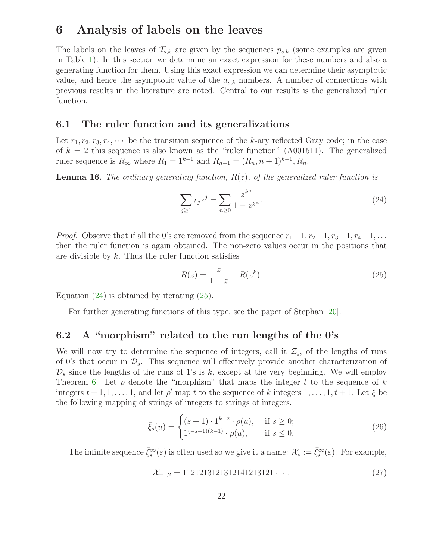### 6 Analysis of labels on the leaves

The labels on the leaves of  $\mathcal{T}_{s,k}$  are given by the sequences  $p_{s,k}$  (some examples are given in Table [1\)](#page-5-0). In this section we determine an exact expression for these numbers and also a generating function for them. Using this exact expression we can determine their asymptotic value, and hence the asymptotic value of the  $a_{s,k}$  numbers. A number of connections with previous results in the literature are noted. Central to our results is the generalized ruler function.

#### 6.1 The ruler function and its generalizations

Let  $r_1, r_2, r_3, r_4, \cdots$  be the transition sequence of the k-ary reflected Gray code; in the case of  $k = 2$  this sequence is also known as the "ruler function" (A001511). The generalized ruler sequence is  $R_{\infty}$  where  $R_1 = 1^{k-1}$  and  $R_{n+1} = (R_n, n+1)^{k-1}, R_n$ .

**Lemma 16.** The ordinary generating function,  $R(z)$ , of the generalized ruler function is

<span id="page-21-0"></span>
$$
\sum_{j\geq 1} r_j z^j = \sum_{n\geq 0} \frac{z^{k^n}}{1 - z^{k^n}}.
$$
\n(24)

*Proof.* Observe that if all the 0's are removed from the sequence  $r_1-1, r_2-1, r_3-1, r_4-1, \ldots$ then the ruler function is again obtained. The non-zero values occur in the positions that are divisible by  $k$ . Thus the ruler function satisfies

<span id="page-21-1"></span>
$$
R(z) = \frac{z}{1 - z} + R(z^k).
$$
 (25)

Equation  $(24)$  is obtained by iterating  $(25)$ .

For further generating functions of this type, see the paper of Stephan [\[20\]](#page-35-3).

### 6.2 A "morphism" related to the run lengths of the 0's

We will now try to determine the sequence of integers, call it  $\mathcal{Z}_s$ , of the lengths of runs of 0's that occur in  $\mathcal{D}_s$ . This sequence will effectively provide another characterization of  $\mathcal{D}_s$  since the lengths of the runs of 1's is k, except at the very beginning. We will employ Theorem [6.](#page-11-1) Let  $\rho$  denote the "morphism" that maps the integer t to the sequence of k integers  $t + 1, 1, \ldots, 1$ , and let  $\rho'$  map t to the sequence of k integers  $1, \ldots, 1, t + 1$ . Let  $\overline{\xi}$  be the following mapping of strings of integers to strings of integers.

<span id="page-21-2"></span>
$$
\bar{\xi}_s(u) = \begin{cases} (s+1) \cdot 1^{k-2} \cdot \rho(u), & \text{if } s \ge 0; \\ 1^{(-s+1)(k-1)} \cdot \rho(u), & \text{if } s \le 0. \end{cases}
$$
 (26)

<span id="page-21-3"></span>The infinite sequence  $\bar{\xi}_s^{\infty}(\varepsilon)$  is often used so we give it a name:  $\bar{\mathcal{X}}_s := \bar{\xi}_s^{\infty}(\varepsilon)$ . For example,

$$
\bar{\mathcal{X}}_{-1,2} = 1121213121312141213121\cdots \tag{27}
$$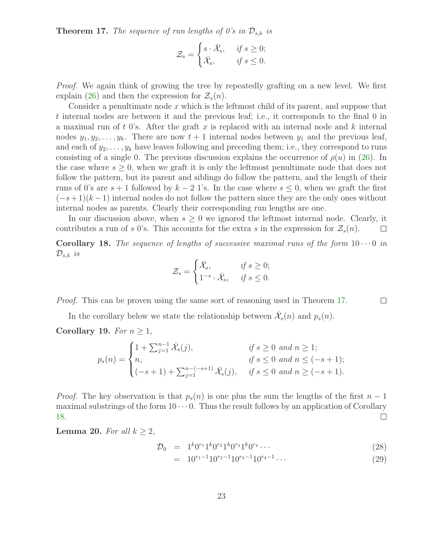**Theorem 17.** The sequence of run lengths of 0's in  $\mathcal{D}_{s,k}$  is

$$
\mathcal{Z}_s = \begin{cases} s \cdot \bar{\mathcal{X}}_s, & \text{if } s \ge 0; \\ \bar{\mathcal{X}}_s, & \text{if } s \le 0. \end{cases}
$$

Proof. We again think of growing the tree by repeatedly grafting on a new level. We first explain [\(26\)](#page-21-2) and then the expression for  $\mathcal{Z}_s(n)$ .

Consider a penultimate node  $x$  which is the leftmost child of its parent, and suppose that t internal nodes are between it and the previous leaf; i.e., it corresponds to the final 0 in a maximal run of t 0's. After the graft x is replaced with an internal node and k internal nodes  $y_1, y_2, \ldots, y_k$ . There are now  $t + 1$  internal nodes between  $y_1$  and the previous leaf, and each of  $y_2, \ldots, y_k$  have leaves following and preceding them; i.e., they correspond to runs consisting of a single 0. The previous discussion explains the occurrence of  $\rho(u)$  in [\(26\)](#page-21-2). In the case where  $s \geq 0$ , when we graft it is only the leftmost penultimate node that does not follow the pattern, but its parent and siblings do follow the pattern, and the length of their runs of 0's are  $s + 1$  followed by  $k - 2$  1's. In the case where  $s \leq 0$ , when we graft the first  $(-s+1)(k-1)$  internal nodes do not follow the pattern since they are the only ones without internal nodes as parents. Clearly their corresponding run lengths are one.

In our discussion above, when  $s \geq 0$  we ignored the leftmost internal node. Clearly, it contributes a run of s 0's. This accounts for the extra s in the expression for  $\mathcal{Z}_s(n)$ .  $\Box$ 

<span id="page-22-0"></span>**Corollary 18.** The sequence of lengths of successive maximal runs of the form  $10 \cdots 0$  in  $\mathcal{D}_{s,k}$  is

$$
\mathcal{Z}_s = \begin{cases} \bar{\mathcal{X}}_s, & \text{if } s \ge 0; \\ 1^{-s} \cdot \bar{\mathcal{X}}_s, & \text{if } s \le 0. \end{cases}
$$

Proof. This can be proven using the same sort of reasoning used in Theorem [17.](#page-21-3)

In the corollary below we state the relationship between  $\bar{\mathcal{X}}_s(n)$  and  $p_s(n)$ .

<span id="page-22-2"></span>Corollary 19. For  $n \geq 1$ ,

$$
p_s(n) = \begin{cases} 1 + \sum_{j=1}^{n-1} \bar{\mathcal{X}}_s(j), & \text{if } s \ge 0 \text{ and } n \ge 1; \\ n, & \text{if } s \le 0 \text{ and } n \le (-s+1); \\ (-s+1) + \sum_{j=1}^{n-(-s+1)} \bar{\mathcal{X}}_s(j), & \text{if } s \le 0 \text{ and } n \ge (-s+1). \end{cases}
$$

*Proof.* The key observation is that  $p_s(n)$  is one plus the sum the lengths of the first  $n-1$ maximal substrings of the form  $10 \cdots 0$ . Thus the result follows by an application of Corollary [18.](#page-22-0)  $\Box$ 

**Lemma 20.** For all  $k \geq 2$ ,

<span id="page-22-1"></span>
$$
\mathcal{D}_0 = 1^k 0^{r_1} 1^k 0^{r_2} 1^k 0^{r_3} 1^k 0^{r_4} \cdots \tag{28}
$$

$$
= 10^{r_1 - 1} 10^{r_2 - 1} 10^{r_3 - 1} 10^{r_4 - 1} \cdots \tag{29}
$$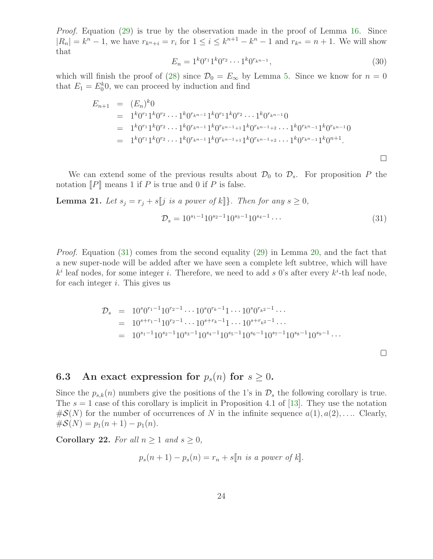Proof. Equation [\(29\)](#page-22-1) is true by the observation made in the proof of Lemma [16.](#page-21-0) Since  $|R_n| = k^n - 1$ , we have  $r_{k^n + i} = r_i$  for  $1 \le i \le k^{n+1} - k^n - 1$  and  $r_{k^n} = n + 1$ . We will show that

$$
E_n = 1^k 0^{r_1} 1^k 0^{r_2} \cdots 1^k 0^{r_{k^{n-1}}},\tag{30}
$$

which will finish the proof of [\(28\)](#page-22-1) since  $\mathcal{D}_0 = E_\infty$  by Lemma [5.](#page-10-2) Since we know for  $n = 0$ that  $E_1 = E_0^k 0$ , we can proceed by induction and find

$$
E_{n+1} = (E_n)^k 0
$$
  
=  $1^k 0^{r_1} 1^k 0^{r_2} \cdots 1^k 0^{r_{k^{n-1}}} 1^k 0^{r_1} 1^k 0^{r_2} \cdots 1^k 0^{r_{k^{n-1}}} 0$   
=  $1^k 0^{r_1} 1^k 0^{r_2} \cdots 1^k 0^{r_{k^{n-1}}} 1^k 0^{r_{k^{n-1}+1}} 1^k 0^{r_{k^{n-1}+2}} \cdots 1^k 0^{r_{k^{n-1}}} 1^k 0^{r_{k^{n-1}}}$   
=  $1^k 0^{r_1} 1^k 0^{r_2} \cdots 1^k 0^{r_{k^{n-1}}} 1^k 0^{r_{k^{n-1}+1}} 1^k 0^{r_{k^{n-1}+2}} \cdots 1^k 0^{r_{k^{n-1}}} 1^k 0^{n+1}$ .

We can extend some of the previous results about  $\mathcal{D}_0$  to  $\mathcal{D}_s$ . For proposition P the notation  $\llbracket P \rrbracket$  means 1 if P is true and 0 if P is false.

**Lemma 21.** Let  $s_j = r_j + s[j]$  is a power of  $k$ ]. Then for any  $s \geq 0$ ,

<span id="page-23-0"></span>
$$
\mathcal{D}_s = 10^{s_1 - 1} 10^{s_2 - 1} 10^{s_3 - 1} 10^{s_4 - 1} \cdots \tag{31}
$$

 $\Box$ 

Proof. Equation [\(31\)](#page-23-0) comes from the second equality [\(29\)](#page-22-1) in Lemma [20,](#page-22-1) and the fact that a new super-node will be added after we have seen a complete left subtree, which will have  $k^i$  leaf nodes, for some integer i. Therefore, we need to add s 0's after every  $k^i$ -th leaf node, for each integer  $i$ . This gives us

$$
\mathcal{D}_s = 10^s 0^{r_1 - 1} 10^{r_2 - 1} \cdots 10^s 0^{r_k - 1} 1 \cdots 10^s 0^{r_{k^2} - 1} \cdots
$$
  
\n
$$
= 10^{s + r_1 - 1} 10^{r_2 - 1} \cdots 10^{s + r_k - 1} 1 \cdots 10^{s + r_{k^2} - 1} \cdots
$$
  
\n
$$
= 10^{s_1 - 1} 10^{s_2 - 1} 10^{s_3 - 1} 10^{s_4 - 1} 10^{s_5 - 1} 10^{s_6 - 1} 10^{s_7 - 1} 10^{s_8 - 1} 10^{s_9 - 1} \cdots
$$

### 6.3 An exact expression for  $p_s(n)$  for  $s \geq 0$ .

Since the  $p_{s,k}(n)$  numbers give the positions of the 1's in  $\mathcal{D}_s$  the following corollary is true. The  $s = 1$  case of this corollary is implicit in Proposition 4.1 of [\[13\]](#page-34-5). They use the notation  $\#\mathcal{S}(N)$  for the number of occurrences of N in the infinite sequence  $a(1), a(2), \ldots$  Clearly,  $\#\mathcal{S}(N) = p_1(n+1) - p_1(n).$ 

<span id="page-23-1"></span>Corollary 22. For all  $n \geq 1$  and  $s \geq 0$ ,

$$
p_s(n+1) - p_s(n) = r_n + s[n \text{ is a power of } k].
$$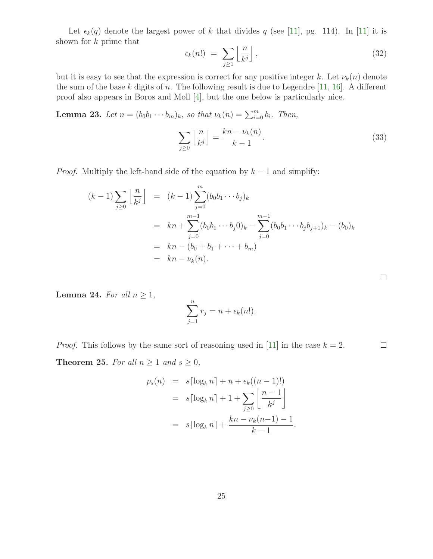<span id="page-24-2"></span>Let  $\epsilon_k(q)$  denote the largest power of k that divides q (see [\[11\]](#page-34-12), pg. 114). In [11] it is shown for k prime that

$$
\epsilon_k(n!) \ = \ \sum_{j\geq 1} \left\lfloor \frac{n}{k^j} \right\rfloor, \tag{32}
$$

but it is easy to see that the expression is correct for any positive integer k. Let  $\nu_k(n)$  denote the sum of the base  $k$  digits of  $n$ . The following result is due to Legendre [\[11,](#page-34-12) [16\]](#page-34-13). A different proof also appears in Boros and Moll [\[4\]](#page-34-14), but the one below is particularly nice.

<span id="page-24-1"></span>**Lemma 23.** Let  $n = (b_0b_1 \cdots b_m)_k$ , so that  $\nu_k(n) = \sum_{i=0}^m b_i$ . Then,

$$
\sum_{j\geq 0} \left\lfloor \frac{n}{k^j} \right\rfloor = \frac{k n - \nu_k(n)}{k - 1}.
$$
\n(33)

 $\Box$ 

*Proof.* Multiply the left-hand side of the equation by  $k - 1$  and simplify:

$$
(k-1)\sum_{j\geq 0} \left\lfloor \frac{n}{k^j} \right\rfloor = (k-1)\sum_{j=0}^m (b_0b_1\cdots b_j)_k
$$
  
=  $kn + \sum_{j=0}^{m-1} (b_0b_1\cdots b_j0)_k - \sum_{j=0}^{m-1} (b_0b_1\cdots b_j b_{j+1})_k - (b_0)_k$   
=  $kn - (b_0 + b_1 + \cdots + b_m)$   
=  $kn - \nu_k(n).$ 

<span id="page-24-0"></span>**Lemma 24.** For all  $n \geq 1$ ,

$$
\sum_{j=1}^{n} r_j = n + \epsilon_k(n!).
$$

<span id="page-24-3"></span>*Proof.* This follows by the same sort of reasoning used in [\[11\]](#page-34-12) in the case  $k = 2$ .  $\Box$ **Theorem 25.** For all  $n \ge 1$  and  $s \ge 0$ ,

$$
p_s(n) = s[\log_k n] + n + \epsilon_k((n-1)!)
$$
  
=  $s[\log_k n] + 1 + \sum_{j\geq 0} \left\lfloor \frac{n-1}{k^j} \right\rfloor$   
=  $s[\log_k n] + \frac{kn - \nu_k(n-1) - 1}{k - 1}.$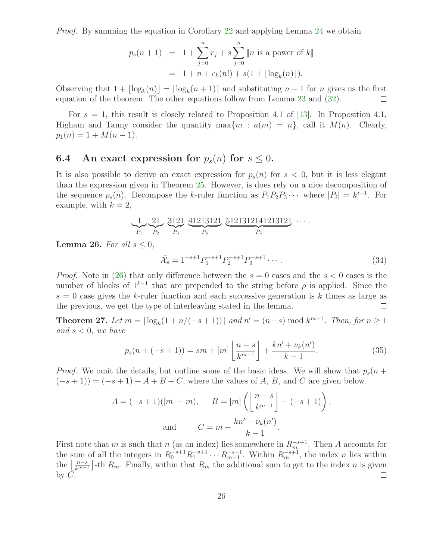*Proof.* By summing the equation in Corollary [22](#page-23-1) and applying Lemma [24](#page-24-0) we obtain

$$
p_s(n+1) = 1 + \sum_{j=0}^{n} r_j + s \sum_{j=0}^{n} [n \text{ is a power of } k]
$$
  
= 1 + n +  $\epsilon_k(n!) + s(1 + \lfloor \log_k(n) \rfloor)$ .

Observing that  $1 + \lfloor \log_k(n) \rfloor = \lceil \log_k(n+1) \rceil$  and substituting  $n-1$  for n gives us the first equation of the theorem. The other equations follow from Lemma [23](#page-24-1) and [\(32\)](#page-24-2).  $\Box$ 

For  $s = 1$ , this result is closely related to Proposition 4.1 of [\[13\]](#page-34-5). In Proposition 4.1, Higham and Tanny consider the quantity max $\{m : a(m) = n\}$ , call it  $M(n)$ . Clearly,  $p_1(n) = 1 + M(n-1).$ 

### 6.4 An exact expression for  $p_s(n)$  for  $s \leq 0$ .

It is also possible to derive an exact expression for  $p_s(n)$  for  $s < 0$ , but it is less elegant than the expression given in Theorem [25.](#page-24-3) However, is does rely on a nice decomposition of the sequence  $p_s(n)$ . Decompose the k-ruler function as  $P_1P_2P_3\cdots$  where  $|P_i|=k^{i-1}$ . For example, with  $k = 2$ ,

$$
\underbrace{1}_{P_1} \underbrace{21}_{P_2} \underbrace{3121}_{P_3} \underbrace{41213121}_{P_4} \underbrace{5121312141213121}_{P_5} \cdots
$$

**Lemma 26.** For all  $s \leq 0$ ,

$$
\bar{\mathcal{X}}_s = 1^{-s+1} P_1^{-s+1} P_2^{-s+1} P_3^{-s+1} \cdots \tag{34}
$$

*Proof.* Note in [\(26\)](#page-21-2) that only difference between the  $s = 0$  cases and the  $s < 0$  cases is the number of blocks of  $1^{k-1}$  that are prepended to the string before  $\rho$  is applied. Since the  $s = 0$  case gives the k-ruler function and each successive generation is k times as large as the previous, we get the type of interleaving stated in the lemma.  $\Box$ 

<span id="page-25-0"></span>**Theorem 27.** Let  $m = \lceil \log_k(1 + n/(-s + 1)) \rceil$  and  $n' = (n - s) \mod k^{m-1}$ . Then, for  $n \ge 1$ and  $s < 0$ , we have

$$
p_s(n + (-s+1)) = sm + [m] \left\lfloor \frac{n-s}{k^{m-1}} \right\rfloor + \frac{kn' + \nu_k(n')}{k-1}.
$$
 (35)

*Proof.* We omit the details, but outline some of the basic ideas. We will show that  $p_s(n +$  $(-s+1)) = (-s+1) + A + B + C$ , where the values of A, B, and C are given below.

$$
A = (-s+1)([m]-m), \qquad B = [m] \left( \left\lfloor \frac{n-s}{k^{m-1}} \right\rfloor - (-s+1) \right),
$$
  
and 
$$
C = m + \frac{k n' - \nu_k(n')}{k-1}.
$$

First note that m is such that n (as an index) lies somewhere in  $R_m^{-s+1}$ . Then A accounts for the sum of all the integers in  $R_0^{-s+1}R_1^{-s+1}\cdots R_{m-1}^{-s+1}$ . Within  $R_m^{-s+1}$ , the index n lies within the  $\lfloor \frac{n-s}{k^{m-1}} \rfloor$ -th  $R_m$ . Finally, within that  $R_m$  the additional sum to get to the index n is given by  $C$ .  $\Box$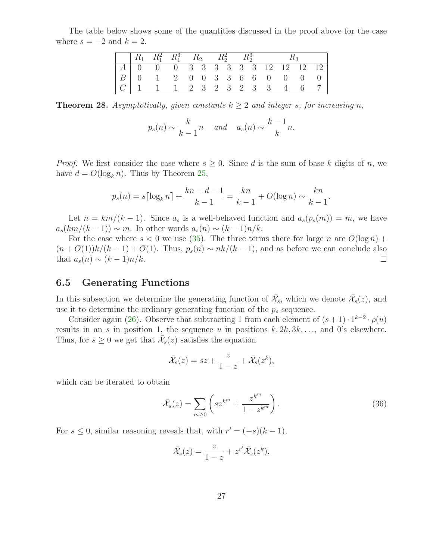The table below shows some of the quantities discussed in the proof above for the case where  $s = -2$  and  $k = 2$ .

|  | $ R_1 \t R_1^2 \t R_1^3 \t R_2^3 \t R_2^2 \t R_2^3$ |  |  |  |  |  |  |
|--|-----------------------------------------------------|--|--|--|--|--|--|
|  | $ A $ 0 0 0 3 3 3 3 3 3 12 12 12 12 1               |  |  |  |  |  |  |
|  |                                                     |  |  |  |  |  |  |
|  |                                                     |  |  |  |  |  |  |

<span id="page-26-0"></span>**Theorem 28.** Asymptotically, given constants  $k > 2$  and integer s, for increasing n,

$$
p_s(n) \sim \frac{k}{k-1}n
$$
 and  $a_s(n) \sim \frac{k-1}{k}n$ .

*Proof.* We first consider the case where  $s \geq 0$ . Since d is the sum of base k digits of n, we have  $d = O(\log_k n)$ . Thus by Theorem [25,](#page-24-3)

$$
p_s(n) = s\lceil \log_k n \rceil + \frac{kn - d - 1}{k - 1} = \frac{kn}{k - 1} + O(\log n) \sim \frac{kn}{k - 1}.
$$

Let  $n = km/(k-1)$ . Since  $a_s$  is a well-behaved function and  $a_s(p_s(m)) = m$ , we have  $a_s(km/(k-1)) \sim m$ . In other words  $a_s(n) \sim (k-1)n/k$ .

For the case where  $s < 0$  we use [\(35\)](#page-25-0). The three terms there for large n are  $O(\log n)$  +  $(n + O(1))k/(k-1) + O(1)$ . Thus,  $p_s(n) \sim nk/(k-1)$ , and as before we can conclude also that  $a_s(n) \sim (k-1)n/k$ .  $\Box$ 

#### 6.5 Generating Functions

In this subsection we determine the generating function of  $\bar{\mathcal{X}}_s$ , which we denote  $\bar{\mathcal{X}}_s(z)$ , and use it to determine the ordinary generating function of the  $p_s$  sequence.

Consider again [\(26\)](#page-21-2). Observe that subtracting 1 from each element of  $(s+1) \cdot 1^{k-2} \cdot \rho(u)$ results in an s in position 1, the sequence u in positions  $k, 2k, 3k, \ldots$ , and 0's elsewhere. Thus, for  $s \geq 0$  we get that  $\bar{\mathcal{X}}_s(z)$  satisfies the equation

$$
\bar{\mathcal{X}}_s(z) = sz + \frac{z}{1-z} + \bar{\mathcal{X}}_s(z^k),
$$

which can be iterated to obtain

<span id="page-26-1"></span>
$$
\bar{\mathcal{X}}_s(z) = \sum_{m \ge 0} \left( s z^{k^m} + \frac{z^{k^m}}{1 - z^{k^m}} \right). \tag{36}
$$

For  $s \leq 0$ , similar reasoning reveals that, with  $r' = (-s)(k-1)$ ,

$$
\bar{\mathcal{X}}_s(z) = \frac{z}{1-z} + z^{r'} \bar{\mathcal{X}}_s(z^k),
$$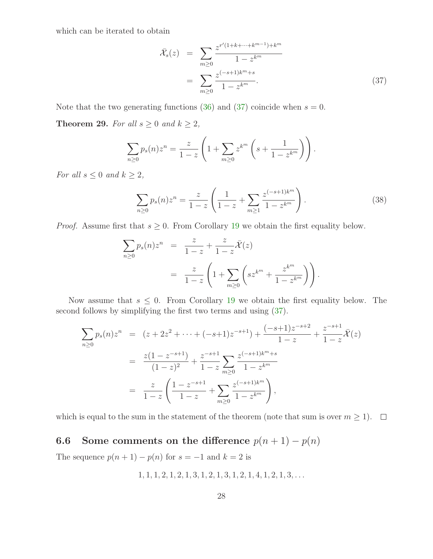which can be iterated to obtain

<span id="page-27-0"></span>
$$
\bar{\mathcal{X}}_s(z) = \sum_{m \ge 0} \frac{z^{r'(1+k+\dots+k^{m-1})+k^m}}{1-z^{k^m}}
$$
\n
$$
= \sum_{m \ge 0} \frac{z^{(-s+1)k^m+s}}{1-z^{k^m}}.
$$
\n(37)

Note that the two generating functions [\(36\)](#page-26-1) and [\(37\)](#page-27-0) coincide when  $s = 0$ .

**Theorem 29.** For all  $s \geq 0$  and  $k \geq 2$ ,

<span id="page-27-1"></span>
$$
\sum_{n\geq 0} p_s(n) z^n = \frac{z}{1-z} \left( 1 + \sum_{m\geq 0} z^{k^m} \left( s + \frac{1}{1-z^{k^m}} \right) \right).
$$

For all  $s \leq 0$  and  $k \geq 2$ ,

$$
\sum_{n\geq 0} p_s(n) z^n = \frac{z}{1-z} \left( \frac{1}{1-z} + \sum_{m\geq 1} \frac{z^{(-s+1)k^m}}{1-z^{k^m}} \right). \tag{38}
$$

*Proof.* Assume first that  $s \geq 0$ . From Corollary [19](#page-22-2) we obtain the first equality below.

$$
\sum_{n\geq 0} p_s(n) z^n = \frac{z}{1-z} + \frac{z}{1-z} \bar{\mathcal{X}}(z)
$$
  
= 
$$
\frac{z}{1-z} \left( 1 + \sum_{m\geq 0} \left( s z^{k^m} + \frac{z^{k^m}}{1-z^{k^m}} \right) \right).
$$

Now assume that  $s \leq 0$ . From Corollary [19](#page-22-2) we obtain the first equality below. The second follows by simplifying the first two terms and using [\(37\)](#page-27-0).

$$
\sum_{n\geq 0} p_s(n) z^n = (z + 2z^2 + \dots + (-s+1)z^{-s+1}) + \frac{(-s+1)z^{-s+2}}{1-z} + \frac{z^{-s+1}}{1-z} \overline{\mathcal{X}}(z)
$$
  
= 
$$
\frac{z(1-z^{-s+1})}{(1-z)^2} + \frac{z^{-s+1}}{1-z} \sum_{m\geq 0} \frac{z^{(-s+1)k^m+s}}{1-z^{k^m}}
$$
  
= 
$$
\frac{z}{1-z} \left( \frac{1-z^{-s+1}}{1-z} + \sum_{m\geq 0} \frac{z^{(-s+1)k^m}}{1-z^{k^m}} \right),
$$

which is equal to the sum in the statement of the theorem (note that sum is over  $m \ge 1$ ).  $\Box$ 

# 6.6 Some comments on the difference  $p(n + 1) - p(n)$

The sequence  $p(n + 1) - p(n)$  for  $s = -1$  and  $k = 2$  is

$$
1, 1, 1, 2, 1, 2, 1, 3, 1, 2, 1, 3, 1, 2, 1, 4, 1, 2, 1, 3, \dots
$$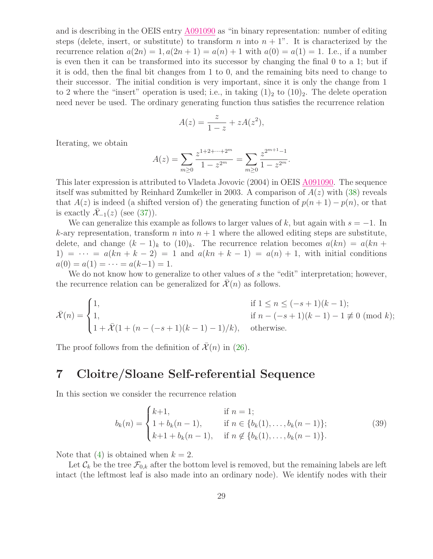and is describing in the OEIS entry [A091090](http://www.research.att.com/cgi-bin/access.cgi/as/~njas/sequences/eisA.cgi?Anum=A091090) as "in binary representation: number of editing steps (delete, insert, or substitute) to transform n into  $n + 1$ ". It is characterized by the recurrence relation  $a(2n) = 1, a(2n + 1) = a(n) + 1$  with  $a(0) = a(1) = 1$ . I.e., if a number is even then it can be transformed into its successor by changing the final 0 to a 1; but if it is odd, then the final bit changes from 1 to 0, and the remaining bits need to change to their successor. The initial condition is very important, since it is only the change from 1 to 2 where the "insert" operation is used; i.e., in taking  $(1)_2$  to  $(10)_2$ . The delete operation need never be used. The ordinary generating function thus satisfies the recurrence relation

$$
A(z) = \frac{z}{1-z} + zA(z^2),
$$

Iterating, we obtain

$$
A(z) = \sum_{m\geq 0} \frac{z^{1+2+\dots+2^m}}{1-z^{2^m}} = \sum_{m\geq 0} \frac{z^{2^{m+1}-1}}{1-z^{2^m}}.
$$

This later expression is attributed to Vladeta Jovovic (2004) in OEIS [A091090.](http://www.research.att.com/cgi-bin/access.cgi/as/~njas/sequences/eisA.cgi?Anum=A091090) The sequence itself was submitted by Reinhard Zumkeller in 2003. A comparison of  $A(z)$  with [\(38\)](#page-27-1) reveals that  $A(z)$  is indeed (a shifted version of) the generating function of  $p(n+1) - p(n)$ , or that is exactly  $\mathcal{X}_{-1}(z)$  (see [\(37\)](#page-27-0)).

We can generalize this example as follows to larger values of k, but again with  $s = -1$ . In k-ary representation, transform n into  $n + 1$  where the allowed editing steps are substitute, delete, and change  $(k-1)_k$  to  $(10)_k$ . The recurrence relation becomes  $a(kn) = a(kn+1)$ 1) =  $\cdots$  =  $a(kn + k - 2)$  = 1 and  $a(kn + k - 1) = a(n) + 1$ , with initial conditions  $a(0) = a(1) = \cdots = a(k-1) = 1.$ 

We do not know how to generalize to other values of s the "edit" interpretation; however, the recurrence relation can be generalized for  $\mathcal{X}(n)$  as follows.

 $\overline{\mathcal{X}}(n) =$  $\sqrt{ }$  $\int$  $\overline{\mathcal{L}}$ 1, if  $1 \le n \le (-s+1)(k-1);$ 1, if  $n - (-s + 1)(k - 1) - 1 \not\equiv 0 \pmod{k}$ ;  $1 + \overline{\mathcal{X}}(1 + (n - (-s + 1)(k - 1) - 1)/k)$ , otherwise.

<span id="page-28-0"></span>The proof follows from the definition of  $\bar{\mathcal{X}}(n)$  in [\(26\)](#page-21-2).

### 7 Cloitre/Sloane Self-referential Sequence

In this section we consider the recurrence relation

<span id="page-28-1"></span>
$$
b_k(n) = \begin{cases} k+1, & \text{if } n = 1; \\ 1 + b_k(n-1), & \text{if } n \in \{b_k(1), \dots, b_k(n-1)\}; \\ k+1 + b_k(n-1), & \text{if } n \notin \{b_k(1), \dots, b_k(n-1)\}. \end{cases} \tag{39}
$$

Note that [\(4\)](#page-3-0) is obtained when  $k = 2$ .

Let  $\mathcal{C}_k$  be the tree  $\mathcal{F}_{0,k}$  after the bottom level is removed, but the remaining labels are left intact (the leftmost leaf is also made into an ordinary node). We identify nodes with their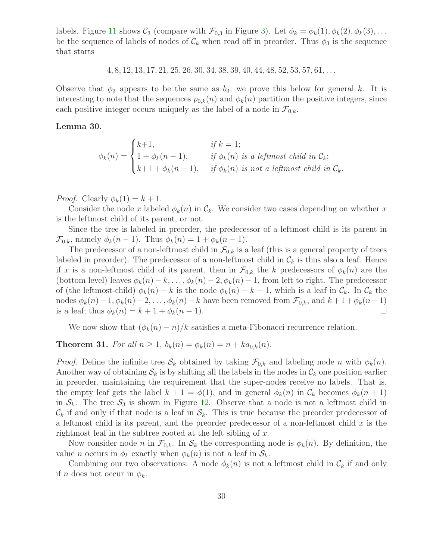labels. Figure [11](#page-30-0) shows  $C_3$  (compare with  $\mathcal{F}_{0,3}$  in Figure [3\)](#page-4-0). Let  $\phi_k = \phi_k(1), \phi_k(2), \phi_k(3), \ldots$ be the sequence of labels of nodes of  $\mathcal{C}_k$  when read off in preorder. Thus  $\phi_3$  is the sequence that starts

 $4, 8, 12, 13, 17, 21, 25, 26, 30, 34, 38, 39, 40, 44, 48, 52, 53, 57, 61, \ldots$ 

Observe that  $\phi_3$  appears to be the same as  $b_3$ ; we prove this below for general k. It is interesting to note that the sequences  $p_{0,k}(n)$  and  $\phi_k(n)$  partition the positive integers, since each positive integer occurs uniquely as the label of a node in  $\mathcal{F}_{0,k}$ .

#### <span id="page-29-0"></span>Lemma 30.

 $\phi_k(n) =$  $\sqrt{ }$  $\int$  $\overline{\mathcal{L}}$  $k+1,$  if  $k = 1;$  $1 + \phi_k(n-1)$ , if  $\phi_k(n)$  is a leftmost child in  $\mathcal{C}_k$ ;  $k+1 + \phi_k(n-1)$ , if  $\phi_k(n)$  is not a leftmost child in  $\mathcal{C}_k$ .

*Proof.* Clearly  $\phi_k(1) = k + 1$ .

Consider the node x labeled  $\phi_k(n)$  in  $\mathcal{C}_k$ . We consider two cases depending on whether x is the leftmost child of its parent, or not.

Since the tree is labeled in preorder, the predecessor of a leftmost child is its parent in  $\mathcal{F}_{0,k}$ , namely  $\phi_k(n-1)$ . Thus  $\phi_k(n) = 1 + \phi_k(n-1)$ .

The predecessor of a non-leftmost child in  $\mathcal{F}_{0,k}$  is a leaf (this is a general property of trees labeled in preorder). The predecessor of a non-leftmost child in  $\mathcal{C}_k$  is thus also a leaf. Hence if x is a non-leftmost child of its parent, then in  $\mathcal{F}_{0,k}$  the k predecessors of  $\phi_k(n)$  are the (bottom level) leaves  $\phi_k(n) - k, \ldots, \phi_k(n) - 2, \phi_k(n) - 1$ , from left to right. The predecessor of (the leftmost-child)  $\phi_k(n) - k$  is the node  $\phi_k(n) - k - 1$ , which is a leaf in  $\mathcal{C}_k$ . In  $\mathcal{C}_k$  the nodes  $\phi_k(n)-1, \phi_k(n)-2,\ldots, \phi_k(n)-k$  have been removed from  $\mathcal{F}_{0,k}$ , and  $k+1 + \phi_k(n-1)$ is a leaf; thus  $\phi_k(n) = k + 1 + \phi_k(n - 1)$ .  $\Box$ 

We now show that  $(\phi_k(n) - n)/k$  satisfies a meta-Fibonacci recurrence relation.

### **Theorem 31.** For all  $n \ge 1$ ,  $b_k(n) = \phi_k(n) = n + ka_{0,k}(n)$ .

*Proof.* Define the infinite tree  $S_k$  obtained by taking  $\mathcal{F}_{0,k}$  and labeling node n with  $\phi_k(n)$ . Another way of obtaining  $S_k$  is by shifting all the labels in the nodes in  $\mathcal{C}_k$  one position earlier in preorder, maintaining the requirement that the super-nodes receive no labels. That is, the empty leaf gets the label  $k + 1 = \phi(1)$ , and in general  $\phi_k(n)$  in  $\mathcal{C}_k$  becomes  $\phi_k(n + 1)$ in  $S_k$ . The tree  $S_3$  is shown in Figure [12.](#page-30-1) Observe that a node is not a leftmost child in  $\mathcal{C}_k$  if and only if that node is a leaf in  $\mathcal{S}_k$ . This is true because the preorder predecessor of a leftmost child is its parent, and the preorder predecessor of a non-leftmost child  $x$  is the rightmost leaf in the subtree rooted at the left sibling of  $x$ .

Now consider node n in  $\mathcal{F}_{0,k}$ . In  $\mathcal{S}_k$  the corresponding node is  $\phi_k(n)$ . By definition, the value *n* occurs in  $\phi_k$  exactly when  $\phi_k(n)$  is not a leaf in  $\mathcal{S}_k$ .

Combining our two observations: A node  $\phi_k(n)$  is not a leftmost child in  $\mathcal{C}_k$  if and only if *n* does not occur in  $\phi_k$ .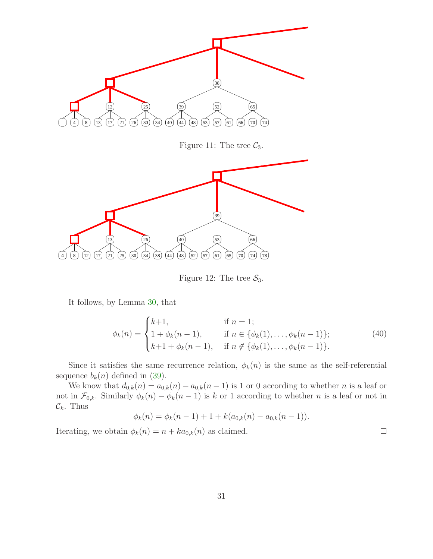

<span id="page-30-0"></span>Figure 11: The tree  $C_3$ .



<span id="page-30-1"></span>Figure 12: The tree  $S_3$ .

It follows, by Lemma [30,](#page-29-0) that

$$
\phi_k(n) = \begin{cases} k+1, & \text{if } n = 1; \\ 1 + \phi_k(n-1), & \text{if } n \in \{\phi_k(1), \dots, \phi_k(n-1)\}; \\ k+1 + \phi_k(n-1), & \text{if } n \notin \{\phi_k(1), \dots, \phi_k(n-1)\}. \end{cases} \tag{40}
$$

 $\Box$ 

Since it satisfies the same recurrence relation,  $\phi_k(n)$  is the same as the self-referential sequence  $b_k(n)$  defined in [\(39\)](#page-28-1).

We know that  $d_{0,k}(n) = a_{0,k}(n) - a_{0,k}(n-1)$  is 1 or 0 according to whether *n* is a leaf or not in  $\mathcal{F}_{0,k}$ . Similarly  $\phi_k(n) - \phi_k(n-1)$  is k or 1 according to whether n is a leaf or not in  $\mathcal{C}_k$ . Thus

$$
\phi_k(n) = \phi_k(n-1) + 1 + k(a_{0,k}(n) - a_{0,k}(n-1)).
$$

Iterating, we obtain  $\phi_k(n) = n + ka_{0,k}(n)$  as claimed.

31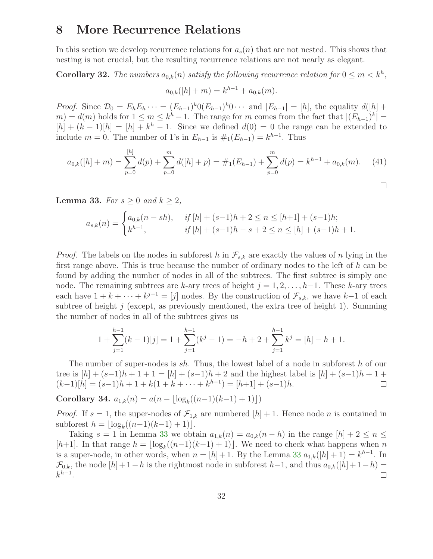### 8 More Recurrence Relations

In this section we develop recurrence relations for  $a_s(n)$  that are not nested. This shows that nesting is not crucial, but the resulting recurrence relations are not nearly as elegant.

**Corollary 32.** The numbers  $a_{0,k}(n)$  satisfy the following recurrence relation for  $0 \leq m < k^h$ ,

$$
a_{0,k}([h]+m) = k^{h-1} + a_{0,k}(m).
$$

*Proof.* Since  $\mathcal{D}_0 = E_h E_h \cdots = (E_{h-1})^k 0 (E_{h-1})^k 0 \cdots$  and  $|E_{h-1}| = [h]$ , the equality  $d([h] +$  $m$ ) =  $d(m)$  holds for  $1 \leq m \leq k^h - 1$ . The range for m comes from the fact that  $|(E_{h-1})^k|$  =  $[h] + (k-1)[h] = [h] + k<sup>h</sup> - 1$ . Since we defined  $d(0) = 0$  the range can be extended to include  $m = 0$ . The number of 1's in  $E_{h-1}$  is  $\#_1(E_{h-1}) = k^{h-1}$ . Thus

$$
a_{0,k}([h]+m) = \sum_{p=0}^{[h]} d(p) + \sum_{p=0}^{m} d([h]+p) = \#_1(E_{h-1}) + \sum_{p=0}^{m} d(p) = k^{h-1} + a_{0,k}(m). \tag{41}
$$

 $\Box$ 

<span id="page-31-0"></span>**Lemma 33.** For  $s \geq 0$  and  $k \geq 2$ ,

$$
a_{s,k}(n) = \begin{cases} a_{0,k}(n - sh), & \text{if } [h] + (s-1)h + 2 \le n \le [h+1] + (s-1)h; \\ k^{h-1}, & \text{if } [h] + (s-1)h - s + 2 \le n \le [h] + (s-1)h + 1. \end{cases}
$$

*Proof.* The labels on the nodes in subforest h in  $\mathcal{F}_{s,k}$  are exactly the values of n lying in the first range above. This is true because the number of ordinary nodes to the left of  $h$  can be found by adding the number of nodes in all of the subtrees. The first subtree is simply one node. The remaining subtrees are k-ary trees of height  $j = 1, 2, \ldots, h-1$ . These k-ary trees each have  $1 + k + \cdots + k^{j-1} = [j]$  nodes. By the construction of  $\mathcal{F}_{s,k}$ , we have  $k-1$  of each subtree of height  $j$  (except, as previously mentioned, the extra tree of height 1). Summing the number of nodes in all of the subtrees gives us

$$
1 + \sum_{j=1}^{h-1} (k-1)[j] = 1 + \sum_{j=1}^{h-1} (k^{j} - 1) = -h + 2 + \sum_{j=1}^{h-1} k^{j} = [h] - h + 1.
$$

The number of super-nodes is sh. Thus, the lowest label of a node in subforest h of our tree is  $[h] + (s-1)h + 1 + 1 = [h] + (s-1)h + 2$  and the highest label is  $[h] + (s-1)h + 1 +$  $(k-1)[h] = (s-1)h + 1 + k(1 + k + \cdots + k^{h-1}) = [h+1] + (s-1)h.$  $\Box$ 

<span id="page-31-2"></span>Corollary 34.  $a_{1,k}(n) = a(n - \lfloor \log_k((n-1)(k-1) + 1) \rfloor)$ 

*Proof.* If  $s = 1$ , the super-nodes of  $\mathcal{F}_{1,k}$  are numbered  $[h] + 1$ . Hence node *n* is contained in subforest  $h = \lfloor \log_k((n-1)(k-1) + 1) \rfloor$ .

<span id="page-31-1"></span>Taking  $s = 1$  in Lemma [33](#page-31-0) we obtain  $a_{1,k}(n) = a_{0,k}(n - h)$  in the range  $[h] + 2 \leq n \leq$ [h+1]. In that range  $h = \lfloor \log_k((n-1)(k-1) + 1) \rfloor$ . We need to check what happens when n is a super-node, in other words, when  $n = [h] + 1$ . By the Lemma [33](#page-31-0)  $a_{1,k}([h] + 1) = k^{h-1}$ . In  $\mathcal{F}_{0,k}$ , the node  $[h]+1-h$  is the rightmost node in subforest  $h-1$ , and thus  $a_{0,k}([h]+1-h)$  $k^{h-1}$ .  $\Box$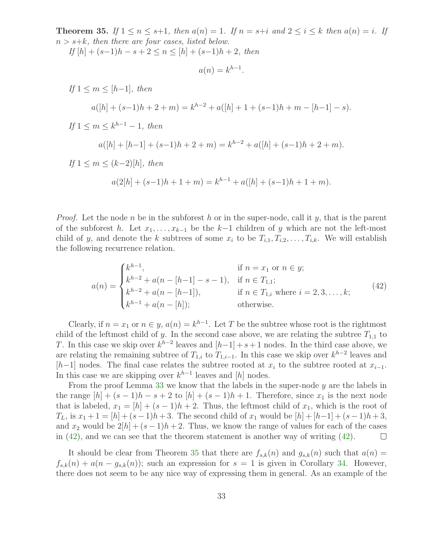**Theorem 35.** If  $1 \le n \le s+1$ , then  $a(n) = 1$ . If  $n = s+i$  and  $2 \le i \le k$  then  $a(n) = i$ . If  $n > s+k$ , then there are four cases, listed below.

If  $[h] + (s-1)h - s + 2 \le n \le [h] + (s-1)h + 2$ , then

$$
a(n) = k^{h-1}.
$$

If  $1 \leq m \leq [h-1]$ , then  $a([h] + (s-1)h + 2 + m) = k^{h-2} + a([h] + 1 + (s-1)h + m - [h-1] - s).$ If  $1 \leq m \leq k^{h-1}-1$ , then  $a([h] + [h-1] + (s-1)h + 2 + m) = k^{h-2} + a([h] + (s-1)h + 2 + m).$ If  $1 \leq m \leq (k-2)[h]$ , then

$$
a(2[h] + (s-1)h + 1 + m) = k^{h-1} + a([h] + (s-1)h + 1 + m).
$$

*Proof.* Let the node n be in the subforest h or in the super-node, call it y, that is the parent of the subforest h. Let  $x_1, \ldots, x_{k-1}$  be the k-1 children of y which are not the left-most child of y, and denote the k subtrees of some  $x_i$  to be  $T_{i,1}, T_{i,2}, \ldots, T_{i,k}$ . We will establish the following recurrence relation.

<span id="page-32-0"></span>
$$
a(n) = \begin{cases} k^{h-1}, & \text{if } n = x_1 \text{ or } n \in y; \\ k^{h-2} + a(n - [h-1] - s - 1), & \text{if } n \in T_{1,1}; \\ k^{h-2} + a(n - [h-1]), & \text{if } n \in T_{1,i} \text{ where } i = 2, 3, \dots, k; \\ k^{h-1} + a(n - [h]); & \text{otherwise.} \end{cases} \tag{42}
$$

Clearly, if  $n = x_1$  or  $n \in y$ ,  $a(n) = k^{h-1}$ . Let T be the subtree whose root is the rightmost child of the leftmost child of y. In the second case above, we are relating the subtree  $T_{1,1}$  to T. In this case we skip over  $k^{h-2}$  leaves and  $[h-1]+s+1$  nodes. In the third case above, we are relating the remaining subtree of  $T_{1,i}$  to  $T_{1,i-1}$ . In this case we skip over  $k^{h-2}$  leaves and  $[h-1]$  nodes. The final case relates the subtree rooted at  $x_i$  to the subtree rooted at  $x_{i-1}$ . In this case we are skipping over  $k^{h-1}$  leaves and [h] nodes.

From the proof Lemma  $33$  we know that the labels in the super-node y are the labels in the range  $[h] + (s-1)h - s + 2$  to  $[h] + (s-1)h + 1$ . Therefore, since  $x_1$  is the next node that is labeled,  $x_1 = [h] + (s-1)h + 2$ . Thus, the leftmost child of  $x_1$ , which is the root of  $T_L$ , is  $x_1 + 1 = [h] + (s-1)h + 3$ . The second child of  $x_1$  would be  $[h] + [h-1] + (s-1)h + 3$ , and  $x_2$  would be  $2[h] + (s-1)h + 2$ . Thus, we know the range of values for each of the cases in  $(42)$ , and we can see that the theorem statement is another way of writing  $(42)$ .  $\Box$ 

It should be clear from Theorem [35](#page-31-1) that there are  $f_{s,k}(n)$  and  $g_{s,k}(n)$  such that  $a(n)$  $f_{s,k}(n) + a(n - g_{s,k}(n))$ ; such an expression for  $s = 1$  is given in Corollary [34.](#page-31-2) However, there does not seem to be any nice way of expressing them in general. As an example of the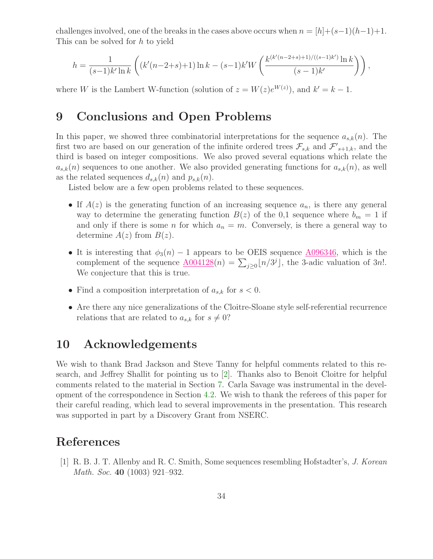challenges involved, one of the breaks in the cases above occurs when  $n = [h] + (s-1)(h-1)+1$ . This can be solved for h to yield

$$
h = \frac{1}{(s-1)k'\ln k} \left( (k'(n-2+s)+1)\ln k - (s-1)k'W\left(\frac{k^{(k'(n-2+s)+1)/((s-1)k')}\ln k}{(s-1)k'}\right) \right),
$$

where W is the Lambert W-function (solution of  $z = W(z)e^{W(z)}$ ), and  $k' = k - 1$ .

# 9 Conclusions and Open Problems

In this paper, we showed three combinatorial interpretations for the sequence  $a_{s,k}(n)$ . The first two are based on our generation of the infinite ordered trees  $\mathcal{F}_{s,k}$  and  $\mathcal{F}'_{s+1,k}$ , and the third is based on integer compositions. We also proved several equations which relate the  $a_{s,k}(n)$  sequences to one another. We also provided generating functions for  $a_{s,k}(n)$ , as well as the related sequences  $d_{s,k}(n)$  and  $p_{s,k}(n)$ .

Listed below are a few open problems related to these sequences.

- If  $A(z)$  is the generating function of an increasing sequence  $a_n$ , is there any general way to determine the generating function  $B(z)$  of the 0,1 sequence where  $b_m = 1$  if and only if there is some *n* for which  $a_n = m$ . Conversely, is there a general way to determine  $A(z)$  from  $B(z)$ .
- It is interesting that  $\phi_3(n) 1$  appears to be OEIS sequence [A096346,](http://www.research.att.com/cgi-bin/access.cgi/as/~njas/sequences/eisA.cgi?Anum=A096346) which is the complement of the sequence  $\underline{A004128}(n) = \sum_{j\geq 0} \lfloor n/3^j \rfloor$ , the 3-adic valuation of 3n!. We conjecture that this is true.
- Find a composition interpretation of  $a_{s,k}$  for  $s < 0$ .
- Are there any nice generalizations of the Cloitre-Sloane style self-referential recurrence relations that are related to  $a_{s,k}$  for  $s \neq 0$ ?

### 10 Acknowledgements

We wish to thank Brad Jackson and Steve Tanny for helpful comments related to this research, and Jeffrey Shallit for pointing us to [\[2\]](#page-34-9). Thanks also to Benoit Cloitre for helpful comments related to the material in Section [7.](#page-28-0) Carla Savage was instrumental in the development of the correspondence in Section [4.2.](#page-16-1) We wish to thank the referees of this paper for their careful reading, which lead to several improvements in the presentation. This research was supported in part by a Discovery Grant from NSERC.

### References

[1] R. B. J. T. Allenby and R. C. Smith, Some sequences resembling Hofstadter's, J. Korean Math. Soc. 40 (1003) 921–932.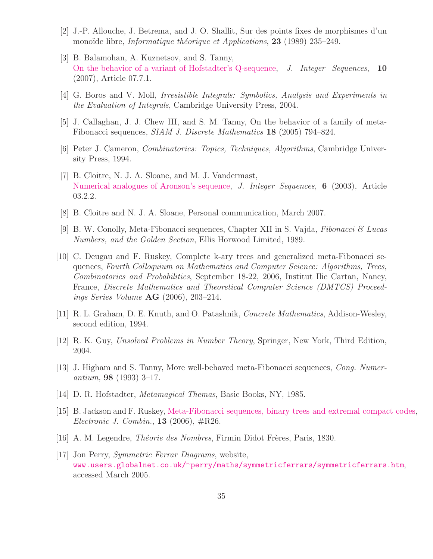- <span id="page-34-9"></span>[2] J.-P. Allouche, J. Betrema, and J. O. Shallit, Sur des points fixes de morphismes d'un monoïde libre, *Informatique théorique et Applications*, **23** (1989) 235–249.
- [3] B. Balamohan, A. Kuznetsov, and S. Tanny, [On the behavior of a variant of Hofstadter's Q-sequence,](http://www.cs.uwaterloo.ca/journals/JIS/VOL10/Tanny/tanny3.html) J. Integer Sequences, 10 (2007), Article 07.7.1.
- <span id="page-34-14"></span><span id="page-34-4"></span>[4] G. Boros and V. Moll, Irresistible Integrals: Symbolics, Analysis and Experiments in the Evaluation of Integrals, Cambridge University Press, 2004.
- <span id="page-34-10"></span>[5] J. Callaghan, J. J. Chew III, and S. M. Tanny, On the behavior of a family of meta-Fibonacci sequences, SIAM J. Discrete Mathematics 18 (2005) 794–824.
- <span id="page-34-6"></span>[6] Peter J. Cameron, Combinatorics: Topics, Techniques, Algorithms, Cambridge University Press, 1994.
- [7] B. Cloitre, N. J. A. Sloane, and M. J. Vandermast, [Numerical analogues of Aronson's sequence,](http://www.cs.uwaterloo.ca/journals/JIS/VOL6/Cloitre/cloitre2.html) J. Integer Sequences, 6 (2003), Article 03.2.2.
- <span id="page-34-7"></span><span id="page-34-3"></span>[8] B. Cloitre and N. J. A. Sloane, Personal communication, March 2007.
- [9] B. W. Conolly, Meta-Fibonacci sequences, Chapter XII in S. Vajda, Fibonacci & Lucas Numbers, and the Golden Section, Ellis Horwood Limited, 1989.
- <span id="page-34-8"></span>[10] C. Deugau and F. Ruskey, Complete k-ary trees and generalized meta-Fibonacci sequences, Fourth Colloquium on Mathematics and Computer Science: Algorithms, Trees, Combinatorics and Probabilities, September 18-22, 2006, Institut Ilie Cartan, Nancy, France, Discrete Mathematics and Theoretical Computer Science (DMTCS) Proceedings Series Volume  $AG$  (2006), 203-214.
- <span id="page-34-12"></span><span id="page-34-0"></span>[11] R. L. Graham, D. E. Knuth, and O. Patashnik, Concrete Mathematics, Addison-Wesley, second edition, 1994.
- <span id="page-34-5"></span>[12] R. K. Guy, Unsolved Problems in Number Theory, Springer, New York, Third Edition, 2004.
- [13] J. Higham and S. Tanny, More well-behaved meta-Fibonacci sequences, Cong. Numerantium, **98** (1993) 3–17.
- <span id="page-34-2"></span><span id="page-34-1"></span>[14] D. R. Hofstadter, *Metamagical Themas*, Basic Books, NY, 1985.
- [15] B. Jackson and F. Ruskey, [Meta-Fibonacci sequences, binary trees and extremal compact](http://www.combinatorics.org/Volume_13/Abstracts/v13i1r26.html) codes, Electronic J. Combin.,  $13$  (2006),  $\#R26$ .
- <span id="page-34-13"></span><span id="page-34-11"></span>[16] A. M. Legendre, *Théorie des Nombres*, Firmin Didot Frères, Paris, 1830.
- [17] Jon Perry, Symmetric Ferrar Diagrams, website, www.users.globalnet.co.uk/<sup>∼</sup>[perry/maths/symmetricferrars/symmetricferrars.htm](www.users.globalnet.co.uk/~perry/maths/symmetricferrars/symmetricferrars.htm), accessed March 2005.